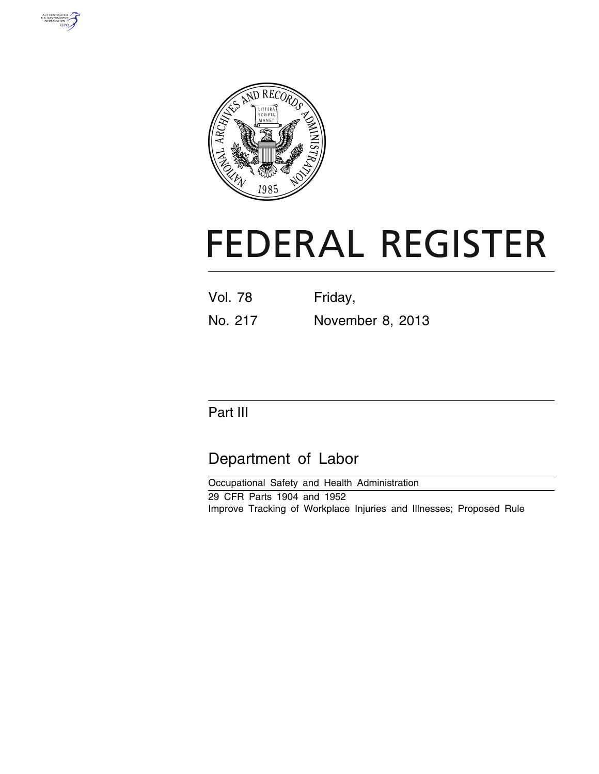



# **FEDERAL REGISTER**

| <b>Vol. 78</b> |  | Friday, |  |  |  |
|----------------|--|---------|--|--|--|
|                |  |         |  |  |  |

No. 217 November 8, 2013

# Part III

# Department of Labor

Occupational Safety and Health Administration 29 CFR Parts 1904 and 1952 Improve Tracking of Workplace Injuries and Illnesses; Proposed Rule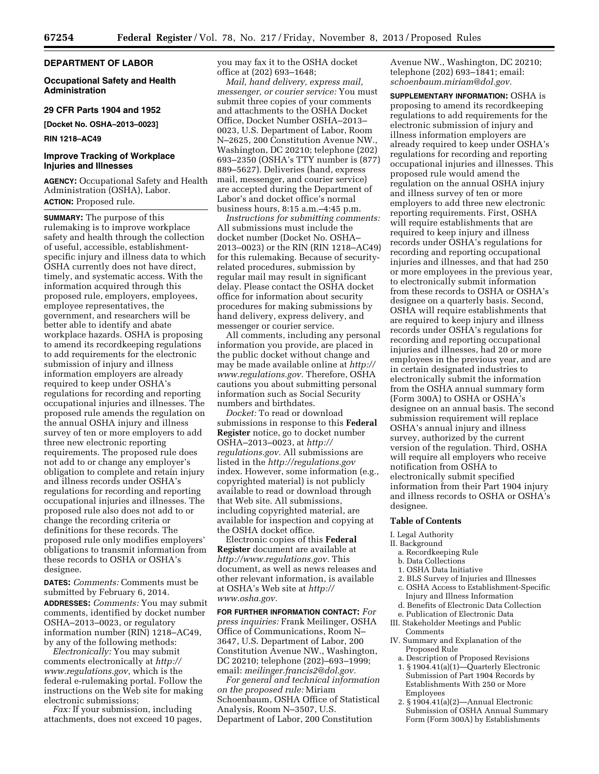#### **DEPARTMENT OF LABOR**

**Occupational Safety and Health Administration** 

#### **29 CFR Parts 1904 and 1952**

**[Docket No. OSHA–2013–0023]** 

#### **RIN 1218–AC49**

#### **Improve Tracking of Workplace Injuries and Illnesses**

**AGENCY:** Occupational Safety and Health Administration (OSHA), Labor. **ACTION:** Proposed rule.

**SUMMARY:** The purpose of this rulemaking is to improve workplace safety and health through the collection of useful, accessible, establishmentspecific injury and illness data to which OSHA currently does not have direct, timely, and systematic access. With the information acquired through this proposed rule, employers, employees, employee representatives, the government, and researchers will be better able to identify and abate workplace hazards. OSHA is proposing to amend its recordkeeping regulations to add requirements for the electronic submission of injury and illness information employers are already required to keep under OSHA's regulations for recording and reporting occupational injuries and illnesses. The proposed rule amends the regulation on the annual OSHA injury and illness survey of ten or more employers to add three new electronic reporting requirements. The proposed rule does not add to or change any employer's obligation to complete and retain injury and illness records under OSHA's regulations for recording and reporting occupational injuries and illnesses. The proposed rule also does not add to or change the recording criteria or definitions for these records. The proposed rule only modifies employers' obligations to transmit information from these records to OSHA or OSHA's designee.

**DATES:** *Comments:* Comments must be submitted by February 6, 2014. **ADDRESSES:** *Comments:* You may submit comments, identified by docket number OSHA–2013–0023, or regulatory information number (RIN) 1218–AC49, by any of the following methods:

*Electronically:* You may submit comments electronically at *[http://](http://www.regulations.gov) [www.regulations.gov,](http://www.regulations.gov)* which is the federal e-rulemaking portal. Follow the instructions on the Web site for making electronic submissions;

*Fax:* If your submission, including attachments, does not exceed 10 pages, you may fax it to the OSHA docket office at (202) 693–1648;

*Mail, hand delivery, express mail, messenger, or courier service:* You must submit three copies of your comments and attachments to the OSHA Docket Office, Docket Number OSHA–2013– 0023, U.S. Department of Labor, Room N–2625, 200 Constitution Avenue NW., Washington, DC 20210; telephone (202) 693–2350 (OSHA's TTY number is (877) 889–5627). Deliveries (hand, express mail, messenger, and courier service) are accepted during the Department of Labor's and docket office's normal business hours, 8:15 a.m.–4:45 p.m.

*Instructions for submitting comments:*  All submissions must include the docket number (Docket No. OSHA– 2013–0023) or the RIN (RIN 1218–AC49) for this rulemaking. Because of securityrelated procedures, submission by regular mail may result in significant delay. Please contact the OSHA docket office for information about security procedures for making submissions by hand delivery, express delivery, and messenger or courier service.

All comments, including any personal information you provide, are placed in the public docket without change and may be made available online at *[http://](http://www.regulations.gov)  [www.regulations.gov.](http://www.regulations.gov)* Therefore, OSHA cautions you about submitting personal information such as Social Security numbers and birthdates.

*Docket:* To read or download submissions in response to this **Federal Register** notice, go to docket number OSHA–2013–0023, at *[http://](http://regulations.gov) [regulations.gov.](http://regulations.gov)* All submissions are listed in the *<http://regulations.gov>*  index. However, some information (e.g., copyrighted material) is not publicly available to read or download through that Web site. All submissions, including copyrighted material, are available for inspection and copying at the OSHA docket office.

Electronic copies of this **Federal Register** document are available at *[http://www.regulations.gov.](http://www.regulations.gov)* This document, as well as news releases and other relevant information, is available at OSHA's Web site at *[http://](http://www.osha.gov) [www.osha.gov.](http://www.osha.gov)* 

**FOR FURTHER INFORMATION CONTACT:** *For press inquiries:* Frank Meilinger, OSHA Office of Communications, Room N– 3647, U.S. Department of Labor, 200 Constitution Avenue NW., Washington, DC 20210; telephone (202)–693–1999; email: *[meilinger.francis2@dol.gov.](mailto:meilinger.francis2@dol.gov)* 

*For general and technical information on the proposed rule:* Miriam Schoenbaum, OSHA Office of Statistical Analysis, Room N–3507, U.S. Department of Labor, 200 Constitution

Avenue NW., Washington, DC 20210; telephone (202) 693–1841; email: *[schoenbaum.miriam@dol.gov.](mailto:schoenbaum.miriam@dol.gov)* 

**SUPPLEMENTARY INFORMATION:** OSHA is proposing to amend its recordkeeping regulations to add requirements for the electronic submission of injury and illness information employers are already required to keep under OSHA's regulations for recording and reporting occupational injuries and illnesses. This proposed rule would amend the regulation on the annual OSHA injury and illness survey of ten or more employers to add three new electronic reporting requirements. First, OSHA will require establishments that are required to keep injury and illness records under OSHA's regulations for recording and reporting occupational injuries and illnesses, and that had 250 or more employees in the previous year, to electronically submit information from these records to OSHA or OSHA's designee on a quarterly basis. Second, OSHA will require establishments that are required to keep injury and illness records under OSHA's regulations for recording and reporting occupational injuries and illnesses, had 20 or more employees in the previous year, and are in certain designated industries to electronically submit the information from the OSHA annual summary form (Form 300A) to OSHA or OSHA's designee on an annual basis. The second submission requirement will replace OSHA's annual injury and illness survey, authorized by the current version of the regulation. Third, OSHA will require all employers who receive notification from OSHA to electronically submit specified information from their Part 1904 injury and illness records to OSHA or OSHA's designee.

#### **Table of Contents**

I. Legal Authority

- II. Background
	- a. Recordkeeping Rule
	- b. Data Collections
	- 1. OSHA Data Initiative
	- 2. BLS Survey of Injuries and Illnesses
	- c. OSHA Access to Establishment-Specific
- Injury and Illness Information d. Benefits of Electronic Data Collection
- e. Publication of Electronic Data III. Stakeholder Meetings and Public Comments
- IV. Summary and Explanation of the Proposed Rule
	- a. Description of Proposed Revisions 1. § 1904.41(a)(1)—Quarterly Electronic Submission of Part 1904 Records by Establishments With 250 or More Employees
	- 2. § 1904.41(a)(2)—Annual Electronic Submission of OSHA Annual Summary Form (Form 300A) by Establishments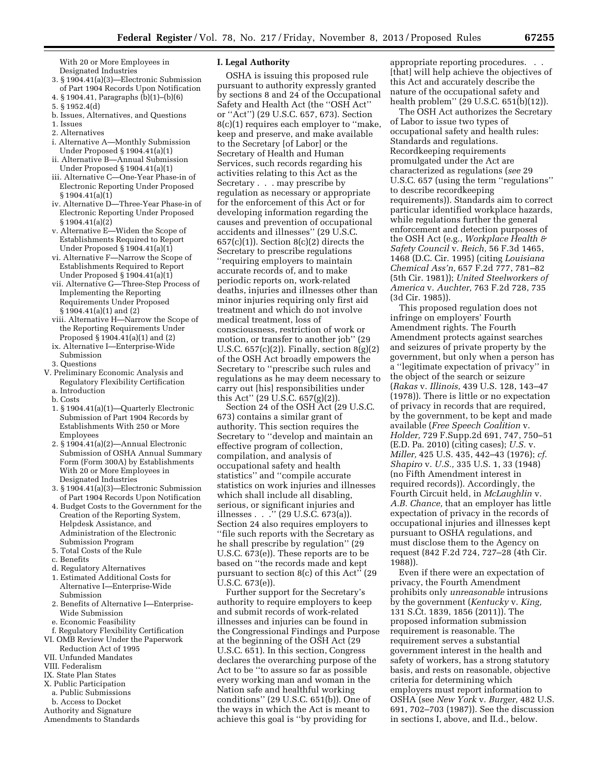With 20 or More Employees in Designated Industries

- 3. § 1904.41(a)(3)—Electronic Submission of Part 1904 Records Upon Notification
- 4. § 1904.41, Paragraphs (b)(1)–(b)(6)
- 5. § 1952.4(d)
- b. Issues, Alternatives, and Questions
- 1. Issues 2. Alternatives
- 
- i. Alternative A—Monthly Submission Under Proposed § 1904.41(a)(1)
- ii. Alternative B—Annual Submission Under Proposed § 1904.41(a)(1)
- iii. Alternative C—One-Year Phase-in of Electronic Reporting Under Proposed § 1904.41(a)(1)
- iv. Alternative D—Three-Year Phase-in of Electronic Reporting Under Proposed § 1904.41(a)(2)
- v. Alternative E—Widen the Scope of Establishments Required to Report Under Proposed § 1904.41(a)(1)
- vi. Alternative F—Narrow the Scope of Establishments Required to Report Under Proposed § 1904.41(a)(1)
- vii. Alternative G—Three-Step Process of Implementing the Reporting Requirements Under Proposed § 1904.41(a)(1) and (2)
- viii. Alternative H—Narrow the Scope of the Reporting Requirements Under Proposed § 1904.41(a)(1) and (2)
- ix. Alternative I—Enterprise-Wide Submission

3. Questions

- V. Preliminary Economic Analysis and Regulatory Flexibility Certification a. Introduction
	- b. Costs
	- 1. § 1904.41(a)(1)—Quarterly Electronic Submission of Part 1904 Records by Establishments With 250 or More Employees
	- 2. § 1904.41(a)(2)—Annual Electronic Submission of OSHA Annual Summary Form (Form 300A) by Establishments With 20 or More Employees in Designated Industries
	- 3. § 1904.41(a)(3)—Electronic Submission of Part 1904 Records Upon Notification
	- 4. Budget Costs to the Government for the Creation of the Reporting System, Helpdesk Assistance, and Administration of the Electronic Submission Program
	- 5. Total Costs of the Rule
	- c. Benefits
	- d. Regulatory Alternatives
	- 1. Estimated Additional Costs for Alternative I—Enterprise-Wide Submission
	- 2. Benefits of Alternative I—Enterprise-Wide Submission
	- e. Economic Feasibility
- f. Regulatory Flexibility Certification
- VI. OMB Review Under the Paperwork
- Reduction Act of 1995
- VII. Unfunded Mandates
- VIII. Federalism
- IX. State Plan States
- X. Public Participation
- a. Public Submissions
- b. Access to Docket
- Authority and Signature Amendments to Standards

# **I. Legal Authority**

OSHA is issuing this proposed rule pursuant to authority expressly granted by sections 8 and 24 of the Occupational Safety and Health Act (the ''OSH Act'' or ''Act'') (29 U.S.C. 657, 673). Section 8(c)(1) requires each employer to ''make, keep and preserve, and make available to the Secretary [of Labor] or the Secretary of Health and Human Services, such records regarding his activities relating to this Act as the Secretary . . . may prescribe by regulation as necessary or appropriate for the enforcement of this Act or for developing information regarding the causes and prevention of occupational accidents and illnesses'' (29 U.S.C.  $657(c)(1)$ ). Section  $8(c)(2)$  directs the Secretary to prescribe regulations ''requiring employers to maintain accurate records of, and to make periodic reports on, work-related deaths, injuries and illnesses other than minor injuries requiring only first aid treatment and which do not involve medical treatment, loss of consciousness, restriction of work or motion, or transfer to another job'' (29 U.S.C. 657(c)(2)). Finally, section 8(g)(2) of the OSH Act broadly empowers the Secretary to ''prescribe such rules and regulations as he may deem necessary to carry out [his] responsibilities under this Act'' (29 U.S.C. 657(g)(2)).

Section 24 of the OSH Act (29 U.S.C. 673) contains a similar grant of authority. This section requires the Secretary to ''develop and maintain an effective program of collection, compilation, and analysis of occupational safety and health statistics'' and ''compile accurate statistics on work injuries and illnesses which shall include all disabling, serious, or significant injuries and illnesses . . . . . . (29 U.S.C. 673(a)). Section 24 also requires employers to ''file such reports with the Secretary as he shall prescribe by regulation'' (29 U.S.C. 673(e)). These reports are to be based on ''the records made and kept pursuant to section 8(c) of this Act'' (29 U.S.C. 673(e)).

Further support for the Secretary's authority to require employers to keep and submit records of work-related illnesses and injuries can be found in the Congressional Findings and Purpose at the beginning of the OSH Act (29 U.S.C. 651). In this section, Congress declares the overarching purpose of the Act to be ''to assure so far as possible every working man and woman in the Nation safe and healthful working conditions'' (29 U.S.C. 651(b)). One of the ways in which the Act is meant to achieve this goal is ''by providing for

appropriate reporting procedures. . . [that] will help achieve the objectives of this Act and accurately describe the nature of the occupational safety and health problem'' (29 U.S.C. 651(b)(12)).

The OSH Act authorizes the Secretary of Labor to issue two types of occupational safety and health rules: Standards and regulations. Recordkeeping requirements promulgated under the Act are characterized as regulations (*see* 29 U.S.C. 657 (using the term ''regulations'' to describe recordkeeping requirements)). Standards aim to correct particular identified workplace hazards, while regulations further the general enforcement and detection purposes of the OSH Act (e.g., *Workplace Health & Safety Council* v. *Reich,* 56 F.3d 1465, 1468 (D.C. Cir. 1995) (citing *Louisiana Chemical Ass'n,* 657 F.2d 777, 781–82 (5th Cir. 1981)); *United Steelworkers of America* v. *Auchter,* 763 F.2d 728, 735 (3d Cir. 1985)).

This proposed regulation does not infringe on employers' Fourth Amendment rights. The Fourth Amendment protects against searches and seizures of private property by the government, but only when a person has a ''legitimate expectation of privacy'' in the object of the search or seizure (*Rakas* v. *Illinois,* 439 U.S. 128, 143–47 (1978)). There is little or no expectation of privacy in records that are required, by the government, to be kept and made available (*Free Speech Coalition* v. *Holder,* 729 F.Supp.2d 691, 747, 750–51 (E.D. Pa. 2010) (citing cases); *U.S.* v. *Miller,* 425 U.S. 435, 442–43 (1976); *cf. Shapiro* v. *U.S.,* 335 U.S. 1, 33 (1948) (no Fifth Amendment interest in required records)). Accordingly, the Fourth Circuit held, in *McLaughlin* v. *A.B. Chance,* that an employer has little expectation of privacy in the records of occupational injuries and illnesses kept pursuant to OSHA regulations, and must disclose them to the Agency on request (842 F.2d 724, 727–28 (4th Cir. 1988)).

Even if there were an expectation of privacy, the Fourth Amendment prohibits only *unreasonable* intrusions by the government (*Kentucky* v. *King,*  131 S.Ct. 1839, 1856 (2011)). The proposed information submission requirement is reasonable. The requirement serves a substantial government interest in the health and safety of workers, has a strong statutory basis, and rests on reasonable, objective criteria for determining which employers must report information to OSHA (see *New York* v. *Burger,* 482 U.S. 691, 702–703 (1987)). See the discussion in sections I, above, and II.d., below.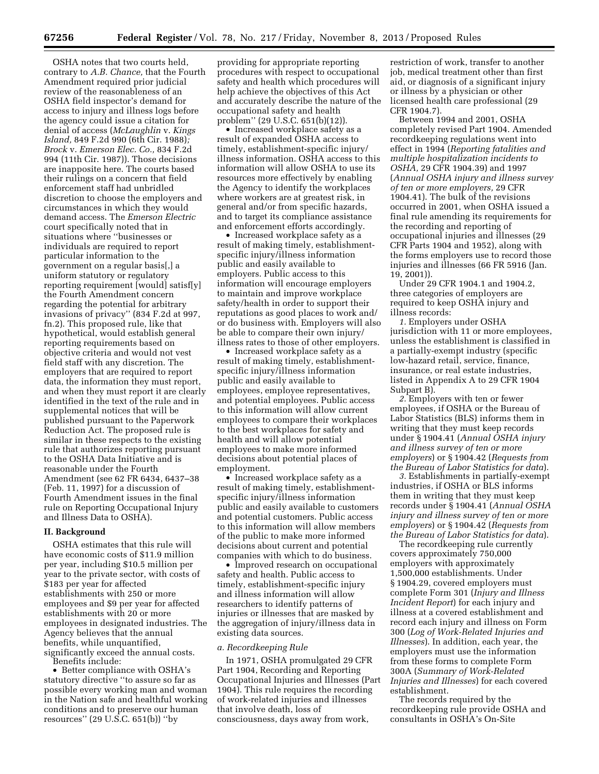OSHA notes that two courts held, contrary to *A.B. Chance,* that the Fourth Amendment required prior judicial review of the reasonableness of an OSHA field inspector's demand for access to injury and illness logs before the agency could issue a citation for denial of access (*McLaughlin* v. *Kings Island,* 849 F.2d 990 (6th Cir. 1988)*; Brock* v. *Emerson Elec. Co.,* 834 F.2d 994 (11th Cir. 1987)). Those decisions are inapposite here. The courts based their rulings on a concern that field enforcement staff had unbridled discretion to choose the employers and circumstances in which they would demand access. The *Emerson Electric*  court specifically noted that in situations where ''businesses or individuals are required to report particular information to the government on a regular basis[,] a uniform statutory or regulatory reporting requirement [would] satisf[y] the Fourth Amendment concern regarding the potential for arbitrary invasions of privacy'' (834 F.2d at 997, fn.2). This proposed rule, like that hypothetical, would establish general reporting requirements based on objective criteria and would not vest field staff with any discretion. The employers that are required to report data, the information they must report, and when they must report it are clearly identified in the text of the rule and in supplemental notices that will be published pursuant to the Paperwork Reduction Act. The proposed rule is similar in these respects to the existing rule that authorizes reporting pursuant to the OSHA Data Initiative and is reasonable under the Fourth Amendment (see 62 FR 6434, 6437–38 (Feb. 11, 1997) for a discussion of Fourth Amendment issues in the final rule on Reporting Occupational Injury and Illness Data to OSHA).

#### **II. Background**

OSHA estimates that this rule will have economic costs of \$11.9 million per year, including \$10.5 million per year to the private sector, with costs of \$183 per year for affected establishments with 250 or more employees and \$9 per year for affected establishments with 20 or more employees in designated industries. The Agency believes that the annual benefits, while unquantified, significantly exceed the annual costs.

Benefits include:

• Better compliance with OSHA's statutory directive ''to assure so far as possible every working man and woman in the Nation safe and healthful working conditions and to preserve our human resources'' (29 U.S.C. 651(b)) ''by

providing for appropriate reporting procedures with respect to occupational safety and health which procedures will help achieve the objectives of this Act and accurately describe the nature of the occupational safety and health problem'' (29 U.S.C. 651(b)(12)).

• Increased workplace safety as a result of expanded OSHA access to timely, establishment-specific injury/ illness information. OSHA access to this information will allow OSHA to use its resources more effectively by enabling the Agency to identify the workplaces where workers are at greatest risk, in general and/or from specific hazards, and to target its compliance assistance and enforcement efforts accordingly.

• Increased workplace safety as a result of making timely, establishmentspecific injury/illness information public and easily available to employers. Public access to this information will encourage employers to maintain and improve workplace safety/health in order to support their reputations as good places to work and/ or do business with. Employers will also be able to compare their own injury/ illness rates to those of other employers.

• Increased workplace safety as a result of making timely, establishmentspecific injury/illness information public and easily available to employees, employee representatives, and potential employees. Public access to this information will allow current employees to compare their workplaces to the best workplaces for safety and health and will allow potential employees to make more informed decisions about potential places of employment.

• Increased workplace safety as a result of making timely, establishmentspecific injury/illness information public and easily available to customers and potential customers. Public access to this information will allow members of the public to make more informed decisions about current and potential companies with which to do business.

• Improved research on occupational safety and health. Public access to timely, establishment-specific injury and illness information will allow researchers to identify patterns of injuries or illnesses that are masked by the aggregation of injury/illness data in existing data sources.

#### *a. Recordkeeping Rule*

In 1971, OSHA promulgated 29 CFR Part 1904, Recording and Reporting Occupational Injuries and Illnesses (Part 1904). This rule requires the recording of work-related injuries and illnesses that involve death, loss of consciousness, days away from work,

restriction of work, transfer to another job, medical treatment other than first aid, or diagnosis of a significant injury or illness by a physician or other licensed health care professional (29 CFR 1904.7).

Between 1994 and 2001, OSHA completely revised Part 1904. Amended recordkeeping regulations went into effect in 1994 (*Reporting fatalities and multiple hospitalization incidents to OSHA,* 29 CFR 1904.39) and 1997 (*Annual OSHA injury and illness survey of ten or more employers,* 29 CFR 1904.41). The bulk of the revisions occurred in 2001, when OSHA issued a final rule amending its requirements for the recording and reporting of occupational injuries and illnesses (29 CFR Parts 1904 and 1952), along with the forms employers use to record those injuries and illnesses (66 FR 5916 (Jan. 19, 2001)).

Under 29 CFR 1904.1 and 1904.2, three categories of employers are required to keep OSHA injury and illness records:

*1.* Employers under OSHA jurisdiction with 11 or more employees, unless the establishment is classified in a partially-exempt industry (specific low-hazard retail, service, finance, insurance, or real estate industries, listed in Appendix A to 29 CFR 1904 Subpart B).

*2.* Employers with ten or fewer employees, if OSHA or the Bureau of Labor Statistics (BLS) informs them in writing that they must keep records under § 1904.41 (*Annual OSHA injury and illness survey of ten or more employers*) or § 1904.42 (*Requests from the Bureau of Labor Statistics for data*).

*3.* Establishments in partially-exempt industries, if OSHA or BLS informs them in writing that they must keep records under § 1904.41 (*Annual OSHA injury and illness survey of ten or more employers*) or § 1904.42 (*Requests from the Bureau of Labor Statistics for data*).

The recordkeeping rule currently covers approximately 750,000 employers with approximately 1,500,000 establishments. Under § 1904.29, covered employers must complete Form 301 (*Injury and Illness Incident Report*) for each injury and illness at a covered establishment and record each injury and illness on Form 300 (*Log of Work-Related Injuries and Illnesses*). In addition, each year, the employers must use the information from these forms to complete Form 300A (*Summary of Work-Related Injuries and Illnesses*) for each covered establishment.

The records required by the recordkeeping rule provide OSHA and consultants in OSHA's On-Site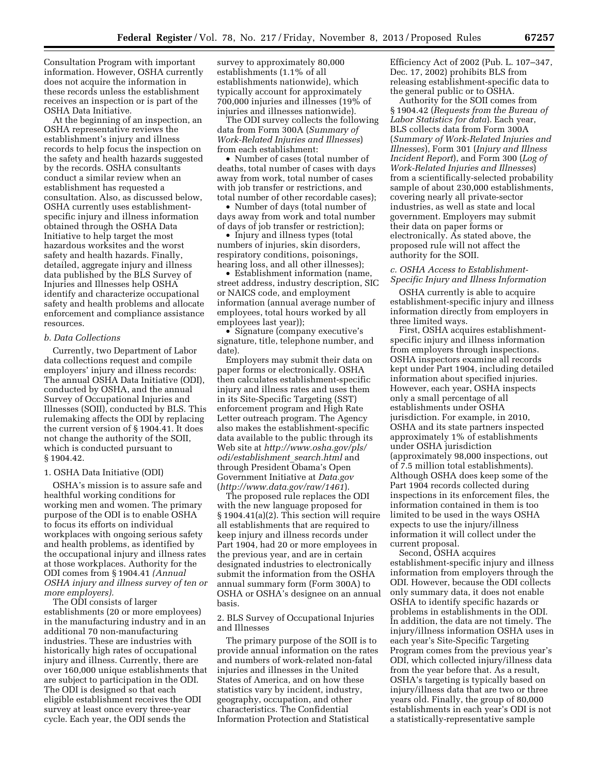Consultation Program with important information. However, OSHA currently does not acquire the information in these records unless the establishment receives an inspection or is part of the OSHA Data Initiative.

At the beginning of an inspection, an OSHA representative reviews the establishment's injury and illness records to help focus the inspection on the safety and health hazards suggested by the records. OSHA consultants conduct a similar review when an establishment has requested a consultation. Also, as discussed below, OSHA currently uses establishmentspecific injury and illness information obtained through the OSHA Data Initiative to help target the most hazardous worksites and the worst safety and health hazards. Finally, detailed, aggregate injury and illness data published by the BLS Survey of Injuries and Illnesses help OSHA identify and characterize occupational safety and health problems and allocate enforcement and compliance assistance resources.

#### *b. Data Collections*

Currently, two Department of Labor data collections request and compile employers' injury and illness records: The annual OSHA Data Initiative (ODI), conducted by OSHA, and the annual Survey of Occupational Injuries and Illnesses (SOII), conducted by BLS. This rulemaking affects the ODI by replacing the current version of § 1904.41. It does not change the authority of the SOII, which is conducted pursuant to § 1904.42.

#### 1. OSHA Data Initiative (ODI)

OSHA's mission is to assure safe and healthful working conditions for working men and women. The primary purpose of the ODI is to enable OSHA to focus its efforts on individual workplaces with ongoing serious safety and health problems, as identified by the occupational injury and illness rates at those workplaces. Authority for the ODI comes from § 1904.41 *(Annual OSHA injury and illness survey of ten or more employers).* 

The ODI consists of larger establishments (20 or more employees) in the manufacturing industry and in an additional 70 non-manufacturing industries. These are industries with historically high rates of occupational injury and illness. Currently, there are over 160,000 unique establishments that are subject to participation in the ODI. The ODI is designed so that each eligible establishment receives the ODI survey at least once every three-year cycle. Each year, the ODI sends the

survey to approximately 80,000 establishments (1.1% of all establishments nationwide), which typically account for approximately 700,000 injuries and illnesses (19% of injuries and illnesses nationwide).

The ODI survey collects the following data from Form 300A (*Summary of Work-Related Injuries and Illnesses*) from each establishment:

• Number of cases (total number of deaths, total number of cases with days away from work, total number of cases with job transfer or restrictions, and total number of other recordable cases);

• Number of days (total number of days away from work and total number of days of job transfer or restriction);

• Injury and illness types (total numbers of injuries, skin disorders, respiratory conditions, poisonings, hearing loss, and all other illnesses);

• Establishment information (name, street address, industry description, SIC or NAICS code, and employment information (annual average number of employees, total hours worked by all employees last year));

• Signature (company executive's signature, title, telephone number, and date).

Employers may submit their data on paper forms or electronically. OSHA then calculates establishment-specific injury and illness rates and uses them in its Site-Specific Targeting (SST) enforcement program and High Rate Letter outreach program. The Agency also makes the establishment-specific data available to the public through its Web site at *[http://www.osha.gov/pls/](http://www.osha.gov/pls/odi/establishment_search.html) [odi/establishment](http://www.osha.gov/pls/odi/establishment_search.html)*\_*search.html* and through President Obama's Open Government Initiative at *Data.gov*  (*<http://www.data.gov/raw/1461>*).

The proposed rule replaces the ODI with the new language proposed for § 1904.41(a)(2). This section will require all establishments that are required to keep injury and illness records under Part 1904, had 20 or more employees in the previous year, and are in certain designated industries to electronically submit the information from the OSHA annual summary form (Form 300A) to OSHA or OSHA's designee on an annual basis.

#### 2. BLS Survey of Occupational Injuries and Illnesses

The primary purpose of the SOII is to provide annual information on the rates and numbers of work-related non-fatal injuries and illnesses in the United States of America, and on how these statistics vary by incident, industry, geography, occupation, and other characteristics. The Confidential Information Protection and Statistical

Efficiency Act of 2002 (Pub. L. 107–347, Dec. 17, 2002) prohibits BLS from releasing establishment-specific data to the general public or to OSHA.

Authority for the SOII comes from § 1904.42 (*Requests from the Bureau of Labor Statistics for data*). Each year, BLS collects data from Form 300A (*Summary of Work-Related Injuries and Illnesses*), Form 301 (*Injury and Illness Incident Report*), and Form 300 (*Log of Work-Related Injuries and Illnesses*) from a scientifically-selected probability sample of about 230,000 establishments, covering nearly all private-sector industries, as well as state and local government. Employers may submit their data on paper forms or electronically. As stated above, the proposed rule will not affect the authority for the SOII.

#### *c. OSHA Access to Establishment-Specific Injury and Illness Information*

OSHA currently is able to acquire establishment-specific injury and illness information directly from employers in three limited ways.

First, OSHA acquires establishmentspecific injury and illness information from employers through inspections. OSHA inspectors examine all records kept under Part 1904, including detailed information about specified injuries. However, each year, OSHA inspects only a small percentage of all establishments under OSHA jurisdiction. For example, in 2010, OSHA and its state partners inspected approximately 1% of establishments under OSHA jurisdiction (approximately 98,000 inspections, out of 7.5 million total establishments). Although OSHA does keep some of the Part 1904 records collected during inspections in its enforcement files, the information contained in them is too limited to be used in the ways OSHA expects to use the injury/illness information it will collect under the current proposal.

Second, OSHA acquires establishment-specific injury and illness information from employers through the ODI. However, because the ODI collects only summary data, it does not enable OSHA to identify specific hazards or problems in establishments in the ODI. In addition, the data are not timely. The injury/illness information OSHA uses in each year's Site-Specific Targeting Program comes from the previous year's ODI, which collected injury/illness data from the year before that. As a result, OSHA's targeting is typically based on injury/illness data that are two or three years old. Finally, the group of 80,000 establishments in each year's ODI is not a statistically-representative sample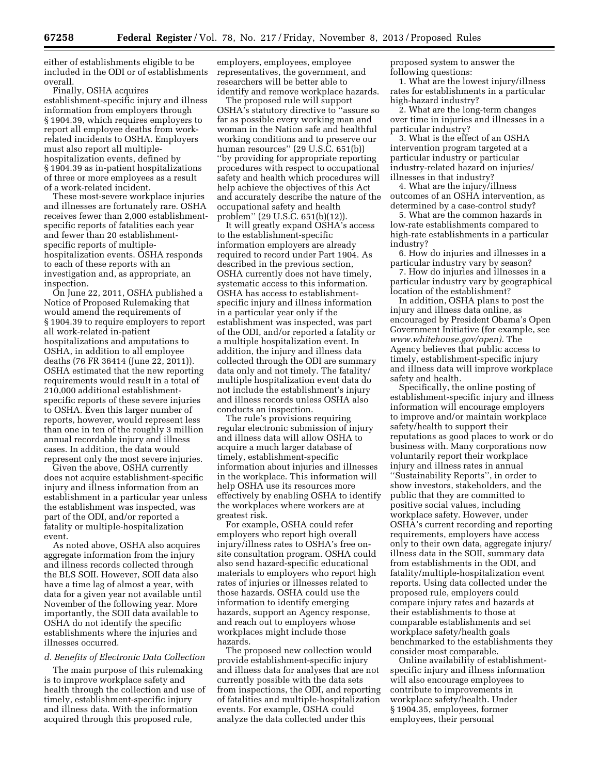either of establishments eligible to be included in the ODI or of establishments overall.

Finally, OSHA acquires establishment-specific injury and illness information from employers through § 1904.39, which requires employers to report all employee deaths from workrelated incidents to OSHA. Employers must also report all multiplehospitalization events, defined by § 1904.39 as in-patient hospitalizations of three or more employees as a result of a work-related incident.

These most-severe workplace injuries and illnesses are fortunately rare. OSHA receives fewer than 2,000 establishmentspecific reports of fatalities each year and fewer than 20 establishmentspecific reports of multiplehospitalization events. OSHA responds to each of these reports with an investigation and, as appropriate, an inspection.

On June 22, 2011, OSHA published a Notice of Proposed Rulemaking that would amend the requirements of § 1904.39 to require employers to report all work-related in-patient hospitalizations and amputations to OSHA, in addition to all employee deaths (76 FR 36414 (June 22, 2011)). OSHA estimated that the new reporting requirements would result in a total of 210,000 additional establishmentspecific reports of these severe injuries to OSHA. Even this larger number of reports, however, would represent less than one in ten of the roughly 3 million annual recordable injury and illness cases. In addition, the data would represent only the most severe injuries.

Given the above, OSHA currently does not acquire establishment-specific injury and illness information from an establishment in a particular year unless the establishment was inspected, was part of the ODI, and/or reported a fatality or multiple-hospitalization event.

As noted above, OSHA also acquires aggregate information from the injury and illness records collected through the BLS SOII. However, SOII data also have a time lag of almost a year, with data for a given year not available until November of the following year. More importantly, the SOII data available to OSHA do not identify the specific establishments where the injuries and illnesses occurred.

#### *d. Benefits of Electronic Data Collection*

The main purpose of this rulemaking is to improve workplace safety and health through the collection and use of timely, establishment-specific injury and illness data. With the information acquired through this proposed rule,

employers, employees, employee representatives, the government, and researchers will be better able to identify and remove workplace hazards.

The proposed rule will support OSHA's statutory directive to ''assure so far as possible every working man and woman in the Nation safe and healthful working conditions and to preserve our human resources'' (29 U.S.C. 651(b)) ''by providing for appropriate reporting procedures with respect to occupational safety and health which procedures will help achieve the objectives of this Act and accurately describe the nature of the occupational safety and health problem'' (29 U.S.C. 651(b)(12)).

It will greatly expand OSHA's access to the establishment-specific information employers are already required to record under Part 1904. As described in the previous section, OSHA currently does not have timely, systematic access to this information. OSHA has access to establishmentspecific injury and illness information in a particular year only if the establishment was inspected, was part of the ODI, and/or reported a fatality or a multiple hospitalization event. In addition, the injury and illness data collected through the ODI are summary data only and not timely. The fatality/ multiple hospitalization event data do not include the establishment's injury and illness records unless OSHA also conducts an inspection.

The rule's provisions requiring regular electronic submission of injury and illness data will allow OSHA to acquire a much larger database of timely, establishment-specific information about injuries and illnesses in the workplace. This information will help OSHA use its resources more effectively by enabling OSHA to identify the workplaces where workers are at greatest risk.

For example, OSHA could refer employers who report high overall injury/illness rates to OSHA's free onsite consultation program. OSHA could also send hazard-specific educational materials to employers who report high rates of injuries or illnesses related to those hazards. OSHA could use the information to identify emerging hazards, support an Agency response, and reach out to employers whose workplaces might include those hazards.

The proposed new collection would provide establishment-specific injury and illness data for analyses that are not currently possible with the data sets from inspections, the ODI, and reporting of fatalities and multiple-hospitalization events. For example, OSHA could analyze the data collected under this

proposed system to answer the following questions:

1. What are the lowest injury/illness rates for establishments in a particular high-hazard industry?

2. What are the long-term changes over time in injuries and illnesses in a particular industry?

3. What is the effect of an OSHA intervention program targeted at a particular industry or particular industry-related hazard on injuries/ illnesses in that industry?

4. What are the injury/illness outcomes of an OSHA intervention, as determined by a case-control study?

5. What are the common hazards in low-rate establishments compared to high-rate establishments in a particular industry?

6. How do injuries and illnesses in a particular industry vary by season?

7. How do injuries and illnesses in a particular industry vary by geographical location of the establishment?

In addition, OSHA plans to post the injury and illness data online, as encouraged by President Obama's Open Government Initiative (for example, see *[www.whitehouse.gov/open\).](http://www.whitehouse.gov/open)* The Agency believes that public access to timely, establishment-specific injury and illness data will improve workplace safety and health.

Specifically, the online posting of establishment-specific injury and illness information will encourage employers to improve and/or maintain workplace safety/health to support their reputations as good places to work or do business with. Many corporations now voluntarily report their workplace injury and illness rates in annual ''Sustainability Reports'', in order to show investors, stakeholders, and the public that they are committed to positive social values, including workplace safety. However, under OSHA's current recording and reporting requirements, employers have access only to their own data, aggregate injury/ illness data in the SOII, summary data from establishments in the ODI, and fatality/multiple-hospitalization event reports. Using data collected under the proposed rule, employers could compare injury rates and hazards at their establishments to those at comparable establishments and set workplace safety/health goals benchmarked to the establishments they consider most comparable.

Online availability of establishmentspecific injury and illness information will also encourage employees to contribute to improvements in workplace safety/health. Under § 1904.35, employees, former employees, their personal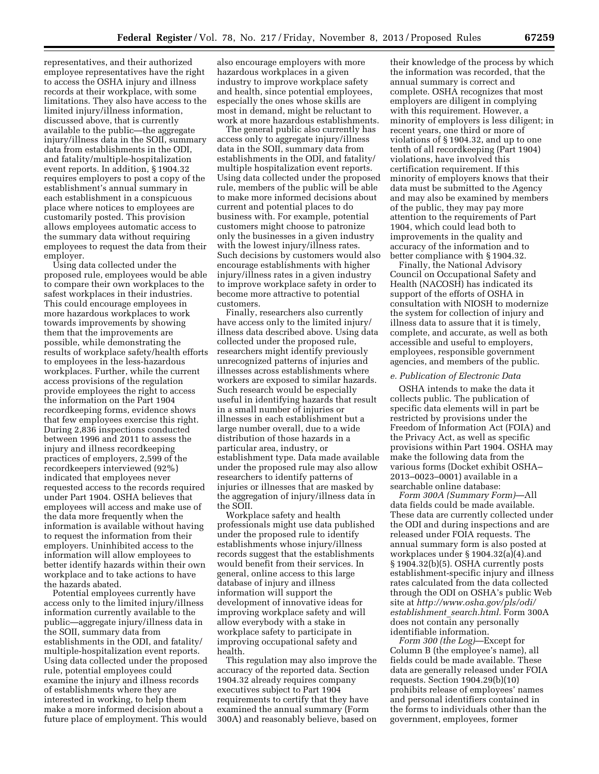representatives, and their authorized employee representatives have the right to access the OSHA injury and illness records at their workplace, with some limitations. They also have access to the limited injury/illness information, discussed above, that is currently available to the public—the aggregate injury/illness data in the SOII, summary data from establishments in the ODI, and fatality/multiple-hospitalization event reports. In addition, § 1904.32 requires employers to post a copy of the establishment's annual summary in each establishment in a conspicuous place where notices to employees are customarily posted. This provision allows employees automatic access to the summary data without requiring employees to request the data from their employer.

Using data collected under the proposed rule, employees would be able to compare their own workplaces to the safest workplaces in their industries. This could encourage employees in more hazardous workplaces to work towards improvements by showing them that the improvements are possible, while demonstrating the results of workplace safety/health efforts to employees in the less-hazardous workplaces. Further, while the current access provisions of the regulation provide employees the right to access the information on the Part 1904 recordkeeping forms, evidence shows that few employees exercise this right. During 2,836 inspections conducted between 1996 and 2011 to assess the injury and illness recordkeeping practices of employers, 2,599 of the recordkeepers interviewed (92%) indicated that employees never requested access to the records required under Part 1904. OSHA believes that employees will access and make use of the data more frequently when the information is available without having to request the information from their employers. Uninhibited access to the information will allow employees to better identify hazards within their own workplace and to take actions to have the hazards abated.

Potential employees currently have access only to the limited injury/illness information currently available to the public—aggregate injury/illness data in the SOII, summary data from establishments in the ODI, and fatality/ multiple-hospitalization event reports. Using data collected under the proposed rule, potential employees could examine the injury and illness records of establishments where they are interested in working, to help them make a more informed decision about a future place of employment. This would

also encourage employers with more hazardous workplaces in a given industry to improve workplace safety and health, since potential employees, especially the ones whose skills are most in demand, might be reluctant to work at more hazardous establishments.

The general public also currently has access only to aggregate injury/illness data in the SOII, summary data from establishments in the ODI, and fatality/ multiple hospitalization event reports. Using data collected under the proposed rule, members of the public will be able to make more informed decisions about current and potential places to do business with. For example, potential customers might choose to patronize only the businesses in a given industry with the lowest injury/illness rates. Such decisions by customers would also encourage establishments with higher injury/illness rates in a given industry to improve workplace safety in order to become more attractive to potential customers.

Finally, researchers also currently have access only to the limited injury/ illness data described above. Using data collected under the proposed rule, researchers might identify previously unrecognized patterns of injuries and illnesses across establishments where workers are exposed to similar hazards. Such research would be especially useful in identifying hazards that result in a small number of injuries or illnesses in each establishment but a large number overall, due to a wide distribution of those hazards in a particular area, industry, or establishment type. Data made available under the proposed rule may also allow researchers to identify patterns of injuries or illnesses that are masked by the aggregation of injury/illness data in the SOII.

Workplace safety and health professionals might use data published under the proposed rule to identify establishments whose injury/illness records suggest that the establishments would benefit from their services. In general, online access to this large database of injury and illness information will support the development of innovative ideas for improving workplace safety and will allow everybody with a stake in workplace safety to participate in improving occupational safety and health.

This regulation may also improve the accuracy of the reported data. Section 1904.32 already requires company executives subject to Part 1904 requirements to certify that they have examined the annual summary (Form 300A) and reasonably believe, based on

their knowledge of the process by which the information was recorded, that the annual summary is correct and complete. OSHA recognizes that most employers are diligent in complying with this requirement. However, a minority of employers is less diligent; in recent years, one third or more of violations of § 1904.32, and up to one tenth of all recordkeeping (Part 1904) violations, have involved this certification requirement. If this minority of employers knows that their data must be submitted to the Agency and may also be examined by members of the public, they may pay more attention to the requirements of Part 1904, which could lead both to improvements in the quality and accuracy of the information and to better compliance with § 1904.32.

Finally, the National Advisory Council on Occupational Safety and Health (NACOSH) has indicated its support of the efforts of OSHA in consultation with NIOSH to modernize the system for collection of injury and illness data to assure that it is timely, complete, and accurate, as well as both accessible and useful to employers, employees, responsible government agencies, and members of the public.

#### *e. Publication of Electronic Data*

OSHA intends to make the data it collects public. The publication of specific data elements will in part be restricted by provisions under the Freedom of Information Act (FOIA) and the Privacy Act, as well as specific provisions within Part 1904. OSHA may make the following data from the various forms (Docket exhibit OSHA– 2013–0023–0001) available in a searchable online database:

*Form 300A (Summary Form)*—All data fields could be made available. These data are currently collected under the ODI and during inspections and are released under FOIA requests. The annual summary form is also posted at workplaces under § 1904.32(a)(4).and § 1904.32(b)(5). OSHA currently posts establishment-specific injury and illness rates calculated from the data collected through the ODI on OSHA's public Web site at *[http://www.osha.gov/pls/odi/](http://www.osha.gov/pls/odi/establishment_search.html) [establishment](http://www.osha.gov/pls/odi/establishment_search.html)*\_*search.html.* Form 300A does not contain any personally identifiable information.

*Form 300 (the Log)*—Except for Column B (the employee's name), all fields could be made available. These data are generally released under FOIA requests. Section 1904.29(b)(10) prohibits release of employees' names and personal identifiers contained in the forms to individuals other than the government, employees, former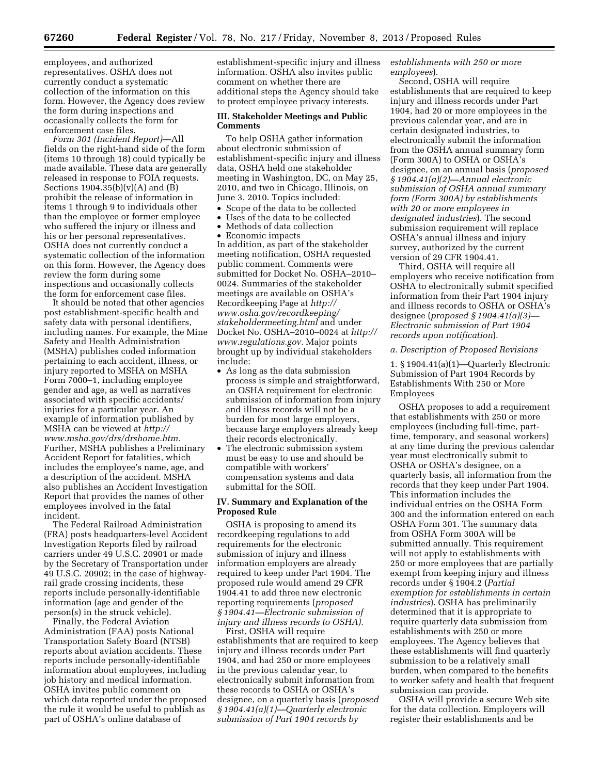employees, and authorized representatives. OSHA does not currently conduct a systematic collection of the information on this form. However, the Agency does review the form during inspections and occasionally collects the form for enforcement case files.

*Form 301 (Incident Report)*—All fields on the right-hand side of the form (items 10 through 18) could typically be made available. These data are generally released in response to FOIA requests. Sections  $1904.35(b)(v)(A)$  and  $(B)$ prohibit the release of information in items 1 through 9 to individuals other than the employee or former employee who suffered the injury or illness and his or her personal representatives. OSHA does not currently conduct a systematic collection of the information on this form. However, the Agency does review the form during some inspections and occasionally collects the form for enforcement case files.

It should be noted that other agencies post establishment-specific health and safety data with personal identifiers, including names. For example, the Mine Safety and Health Administration (MSHA) publishes coded information pertaining to each accident, illness, or injury reported to MSHA on MSHA Form 7000–1, including employee gender and age, as well as narratives associated with specific accidents/ injuries for a particular year. An example of information published by MSHA can be viewed at *[http://](http://www.msha.gov/drs/drshome.htm) [www.msha.gov/drs/drshome.htm.](http://www.msha.gov/drs/drshome.htm)*  Further, MSHA publishes a Preliminary Accident Report for fatalities, which includes the employee's name, age, and a description of the accident. MSHA also publishes an Accident Investigation Report that provides the names of other employees involved in the fatal incident.

The Federal Railroad Administration (FRA) posts headquarters-level Accident Investigation Reports filed by railroad carriers under 49 U.S.C. 20901 or made by the Secretary of Transportation under 49 U.S.C. 20902; in the case of highwayrail grade crossing incidents, these reports include personally-identifiable information (age and gender of the person(s) in the struck vehicle).

Finally, the Federal Aviation Administration (FAA) posts National Transportation Safety Board (NTSB) reports about aviation accidents. These reports include personally-identifiable information about employees, including job history and medical information. OSHA invites public comment on which data reported under the proposed the rule it would be useful to publish as part of OSHA's online database of

establishment-specific injury and illness information. OSHA also invites public comment on whether there are additional steps the Agency should take to protect employee privacy interests.

#### **III. Stakeholder Meetings and Public Comments**

To help OSHA gather information about electronic submission of establishment-specific injury and illness data, OSHA held one stakeholder meeting in Washington, DC, on May 25, 2010, and two in Chicago, Illinois, on June 3, 2010. Topics included:

- Scope of the data to be collected
- Uses of the data to be collected
- Methods of data collection
- Economic impacts

In addition, as part of the stakeholder meeting notification, OSHA requested public comment. Comments were submitted for Docket No. OSHA–2010– 0024. Summaries of the stakeholder meetings are available on OSHA's Recordkeeping Page at *[http://](http://www.osha.gov/recordkeeping/stakeholdermeeting.html) [www.osha.gov/recordkeeping/](http://www.osha.gov/recordkeeping/stakeholdermeeting.html) [stakeholdermeeting.html](http://www.osha.gov/recordkeeping/stakeholdermeeting.html)* and under Docket No. OSHA–2010–0024 at *[http://](http://www.regulations.gov) [www.regulations.gov.](http://www.regulations.gov)* Major points brought up by individual stakeholders include:

- As long as the data submission process is simple and straightforward, an OSHA requirement for electronic submission of information from injury and illness records will not be a burden for most large employers, because large employers already keep their records electronically.
- The electronic submission system must be easy to use and should be compatible with workers' compensation systems and data submittal for the SOII.

#### **IV. Summary and Explanation of the Proposed Rule**

OSHA is proposing to amend its recordkeeping regulations to add requirements for the electronic submission of injury and illness information employers are already required to keep under Part 1904. The proposed rule would amend 29 CFR 1904.41 to add three new electronic reporting requirements (*proposed § 1904.41—Electronic submission of injury and illness records to OSHA).* 

First, OSHA will require establishments that are required to keep injury and illness records under Part 1904, and had 250 or more employees in the previous calendar year, to electronically submit information from these records to OSHA or OSHA's designee, on a quarterly basis (*proposed § 1904.41(a)(1)—Quarterly electronic submission of Part 1904 records by* 

*establishments with 250 or more employees*).

Second, OSHA will require establishments that are required to keep injury and illness records under Part 1904, had 20 or more employees in the previous calendar year, and are in certain designated industries, to electronically submit the information from the OSHA annual summary form (Form 300A) to OSHA or OSHA's designee, on an annual basis (*proposed § 1904.41(a)(2)—Annual electronic submission of OSHA annual summary form (Form 300A) by establishments with 20 or more employees in designated industries*). The second submission requirement will replace OSHA's annual illness and injury survey, authorized by the current version of 29 CFR 1904.41.

Third, OSHA will require all employers who receive notification from OSHA to electronically submit specified information from their Part 1904 injury and illness records to OSHA or OSHA's designee (*proposed § 1904.41(a)(3)— Electronic submission of Part 1904 records upon notification*).

#### *a. Description of Proposed Revisions*

1. § 1904.41(a)(1)—Quarterly Electronic Submission of Part 1904 Records by Establishments With 250 or More Employees

OSHA proposes to add a requirement that establishments with 250 or more employees (including full-time, parttime, temporary, and seasonal workers) at any time during the previous calendar year must electronically submit to OSHA or OSHA's designee, on a quarterly basis, all information from the records that they keep under Part 1904. This information includes the individual entries on the OSHA Form 300 and the information entered on each OSHA Form 301. The summary data from OSHA Form 300A will be submitted annually. This requirement will not apply to establishments with 250 or more employees that are partially exempt from keeping injury and illness records under § 1904.2 (*Partial exemption for establishments in certain industries*). OSHA has preliminarily determined that it is appropriate to require quarterly data submission from establishments with 250 or more employees. The Agency believes that these establishments will find quarterly submission to be a relatively small burden, when compared to the benefits to worker safety and health that frequent submission can provide.

OSHA will provide a secure Web site for the data collection. Employers will register their establishments and be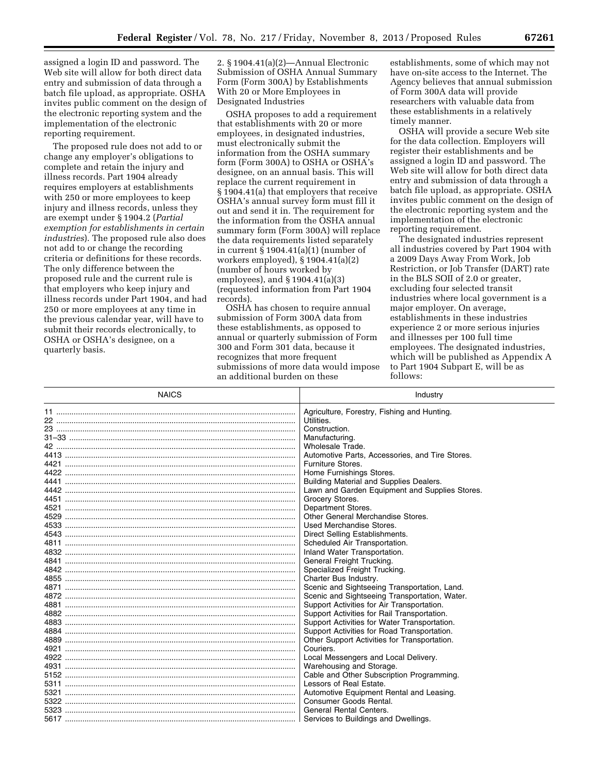assigned a login ID and password. The Web site will allow for both direct data entry and submission of data through a batch file upload, as appropriate. OSHA invites public comment on the design of the electronic reporting system and the implementation of the electronic reporting requirement.

The proposed rule does not add to or change any employer's obligations to complete and retain the injury and illness records. Part 1904 already requires employers at establishments with 250 or more employees to keep injury and illness records, unless they are exempt under § 1904.2 (*Partial exemption for establishments in certain industries*). The proposed rule also does not add to or change the recording criteria or definitions for these records. The only difference between the proposed rule and the current rule is that employers who keep injury and illness records under Part 1904, and had 250 or more employees at any time in the previous calendar year, will have to submit their records electronically, to OSHA or OSHA's designee, on a quarterly basis.

2. § 1904.41(a)(2)—Annual Electronic Submission of OSHA Annual Summary Form (Form 300A) by Establishments With 20 or More Employees in Designated Industries

OSHA proposes to add a requirement that establishments with 20 or more employees, in designated industries, must electronically submit the information from the OSHA summary form (Form 300A) to OSHA or OSHA's designee, on an annual basis. This will replace the current requirement in § 1904.41(a) that employers that receive OSHA's annual survey form must fill it out and send it in. The requirement for the information from the OSHA annual summary form (Form 300A) will replace the data requirements listed separately in current § 1904.41(a)(1) (number of workers employed), § 1904.41(a)(2) (number of hours worked by employees), and § 1904.41(a)(3) (requested information from Part 1904 records).

OSHA has chosen to require annual submission of Form 300A data from these establishments, as opposed to annual or quarterly submission of Form 300 and Form 301 data, because it recognizes that more frequent submissions of more data would impose an additional burden on these

establishments, some of which may not have on-site access to the Internet. The Agency believes that annual submission of Form 300A data will provide researchers with valuable data from these establishments in a relatively timely manner.

OSHA will provide a secure Web site for the data collection. Employers will register their establishments and be assigned a login ID and password. The Web site will allow for both direct data entry and submission of data through a batch file upload, as appropriate. OSHA invites public comment on the design of the electronic reporting system and the implementation of the electronic reporting requirement.

The designated industries represent all industries covered by Part 1904 with a 2009 Days Away From Work, Job Restriction, or Job Transfer (DART) rate in the BLS SOII of 2.0 or greater, excluding four selected transit industries where local government is a major employer. On average, establishments in these industries experience 2 or more serious injuries and illnesses per 100 full time employees. The designated industries, which will be published as Appendix A to Part 1904 Subpart E, will be as follows:

| <b>NAICS</b> | Industry                                        |  |
|--------------|-------------------------------------------------|--|
|              | Agriculture, Forestry, Fishing and Hunting.     |  |
|              | Utilities.                                      |  |
|              | Construction.                                   |  |
|              | Manufacturing.                                  |  |
|              | Wholesale Trade.                                |  |
|              | Automotive Parts, Accessories, and Tire Stores. |  |
|              | Furniture Stores.                               |  |
|              | Home Furnishings Stores.                        |  |
|              | Building Material and Supplies Dealers.         |  |
|              | Lawn and Garden Equipment and Supplies Stores.  |  |
|              | Grocery Stores.                                 |  |
|              | Department Stores.                              |  |
|              | Other General Merchandise Stores.               |  |
|              | Used Merchandise Stores.                        |  |
|              | Direct Selling Establishments.                  |  |
|              | Scheduled Air Transportation.                   |  |
|              | Inland Water Transportation.                    |  |
|              | General Freight Trucking.                       |  |
|              | Specialized Freight Trucking.                   |  |
|              | Charter Bus Industry.                           |  |
|              | Scenic and Sightseeing Transportation, Land.    |  |
|              | Scenic and Sightseeing Transportation, Water.   |  |
|              | Support Activities for Air Transportation.      |  |
|              | Support Activities for Rail Transportation.     |  |
|              | Support Activities for Water Transportation.    |  |
|              | Support Activities for Road Transportation.     |  |
|              | Other Support Activities for Transportation.    |  |
|              | Couriers.                                       |  |
|              | Local Messengers and Local Delivery.            |  |
|              | Warehousing and Storage.                        |  |
|              | Cable and Other Subscription Programming.       |  |
| 5311         | Lessors of Real Estate.                         |  |
| 5321         | Automotive Equipment Rental and Leasing.        |  |
|              | Consumer Goods Rental.                          |  |
| 5323         | <b>General Rental Centers.</b>                  |  |
|              | Services to Buildings and Dwellings.            |  |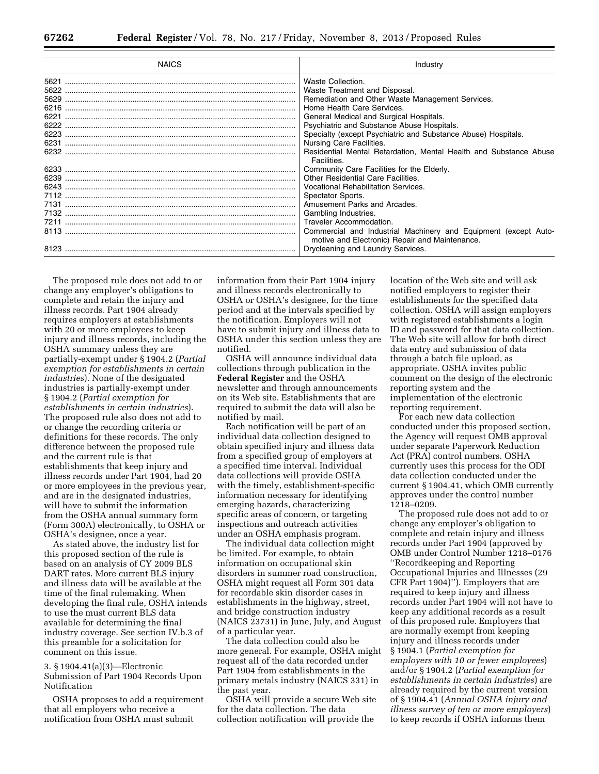| <b>NAICS</b>                                         | Industry                                                                                                                                                                                                                                                                                                                                                                                                 |
|------------------------------------------------------|----------------------------------------------------------------------------------------------------------------------------------------------------------------------------------------------------------------------------------------------------------------------------------------------------------------------------------------------------------------------------------------------------------|
| 5621<br>5622<br>5629<br>6221<br>6222<br>6223<br>6231 | Waste Collection.<br>Waste Treatment and Disposal.<br>Remediation and Other Waste Management Services.<br>Home Health Care Services.<br>General Medical and Surgical Hospitals.<br>Psychiatric and Substance Abuse Hospitals.<br>Specialty (except Psychiatric and Substance Abuse) Hospitals.<br>Nursing Care Facilities.<br>Residential Mental Retardation, Mental Health and Substance Abuse          |
| 6239<br>6243<br>7131<br>7211                         | Facilities.<br>Community Care Facilities for the Elderly.<br>Other Residential Care Facilities.<br>Vocational Rehabilitation Services.<br>Spectator Sports.<br>Amusement Parks and Arcades.<br>Gambling Industries.<br>Traveler Accommodation.<br>Commercial and Industrial Machinery and Equipment (except Auto-<br>motive and Electronic) Repair and Maintenance.<br>Drycleaning and Laundry Services. |

The proposed rule does not add to or change any employer's obligations to complete and retain the injury and illness records. Part 1904 already requires employers at establishments with 20 or more employees to keep injury and illness records, including the OSHA summary unless they are partially-exempt under § 1904.2 (*Partial exemption for establishments in certain industries*). None of the designated industries is partially-exempt under § 1904.2 (*Partial exemption for establishments in certain industries*). The proposed rule also does not add to or change the recording criteria or definitions for these records. The only difference between the proposed rule and the current rule is that establishments that keep injury and illness records under Part 1904, had 20 or more employees in the previous year, and are in the designated industries, will have to submit the information from the OSHA annual summary form (Form 300A) electronically, to OSHA or OSHA's designee, once a year.

As stated above, the industry list for this proposed section of the rule is based on an analysis of CY 2009 BLS DART rates. More current BLS injury and illness data will be available at the time of the final rulemaking. When developing the final rule, OSHA intends to use the must current BLS data available for determining the final industry coverage. See section IV.b.3 of this preamble for a solicitation for comment on this issue.

3. § 1904.41(a)(3)—Electronic Submission of Part 1904 Records Upon Notification

OSHA proposes to add a requirement that all employers who receive a notification from OSHA must submit

information from their Part 1904 injury and illness records electronically to OSHA or OSHA's designee, for the time period and at the intervals specified by the notification. Employers will not have to submit injury and illness data to OSHA under this section unless they are notified.

OSHA will announce individual data collections through publication in the **Federal Register** and the OSHA newsletter and through announcements on its Web site. Establishments that are required to submit the data will also be notified by mail.

Each notification will be part of an individual data collection designed to obtain specified injury and illness data from a specified group of employers at a specified time interval. Individual data collections will provide OSHA with the timely, establishment-specific information necessary for identifying emerging hazards, characterizing specific areas of concern, or targeting inspections and outreach activities under an OSHA emphasis program.

The individual data collection might be limited. For example, to obtain information on occupational skin disorders in summer road construction, OSHA might request all Form 301 data for recordable skin disorder cases in establishments in the highway, street, and bridge construction industry (NAICS 23731) in June, July, and August of a particular year.

The data collection could also be more general. For example, OSHA might request all of the data recorded under Part 1904 from establishments in the primary metals industry (NAICS 331) in the past year.

OSHA will provide a secure Web site for the data collection. The data collection notification will provide the

location of the Web site and will ask notified employers to register their establishments for the specified data collection. OSHA will assign employers with registered establishments a login ID and password for that data collection. The Web site will allow for both direct data entry and submission of data through a batch file upload, as appropriate. OSHA invites public comment on the design of the electronic reporting system and the implementation of the electronic reporting requirement.

For each new data collection conducted under this proposed section, the Agency will request OMB approval under separate Paperwork Reduction Act (PRA) control numbers. OSHA currently uses this process for the ODI data collection conducted under the current § 1904.41, which OMB currently approves under the control number 1218–0209.

The proposed rule does not add to or change any employer's obligation to complete and retain injury and illness records under Part 1904 (approved by OMB under Control Number 1218–0176 ''Recordkeeping and Reporting Occupational Injuries and Illnesses (29 CFR Part 1904)''). Employers that are required to keep injury and illness records under Part 1904 will not have to keep any additional records as a result of this proposed rule. Employers that are normally exempt from keeping injury and illness records under § 1904.1 (*Partial exemption for employers with 10 or fewer employees*) and/or § 1904.2 (*Partial exemption for establishments in certain industries*) are already required by the current version of § 1904.41 (*Annual OSHA injury and illness survey of ten or more employers*) to keep records if OSHA informs them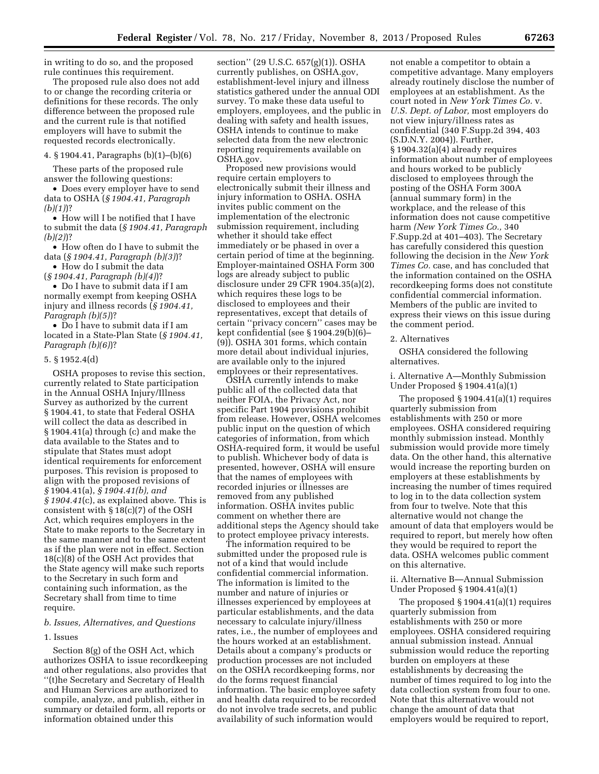in writing to do so, and the proposed rule continues this requirement.

The proposed rule also does not add to or change the recording criteria or definitions for these records. The only difference between the proposed rule and the current rule is that notified employers will have to submit the requested records electronically.

#### 4. § 1904.41, Paragraphs (b)(1)–(b)(6)

These parts of the proposed rule answer the following questions:

• Does every employer have to send data to OSHA (*§ 1904.41, Paragraph (b)(1)*)?

• How will I be notified that I have to submit the data (*§ 1904.41, Paragraph (b)(2)*)?

• How often do I have to submit the data (*§ 1904.41, Paragraph (b)(3)*)?

• How do I submit the data (*§ 1904.41, Paragraph (b)(4)*)?

• Do I have to submit data if I am normally exempt from keeping OSHA injury and illness records (*§ 1904.41, Paragraph (b)(5)*)?

• Do I have to submit data if I am located in a State-Plan State (*§ 1904.41, Paragraph (b)(6)*)?

#### 5. § 1952.4(d)

OSHA proposes to revise this section, currently related to State participation in the Annual OSHA Injury/Illness Survey as authorized by the current § 1904.41, to state that Federal OSHA will collect the data as described in § 1904.41(a) through (c) and make the data available to the States and to stipulate that States must adopt identical requirements for enforcement purposes. This revision is proposed to align with the proposed revisions of *§* 1904.41(a), *§ 1904.41(b), and § 1904.41*(c), as explained above. This is consistent with § 18(c)(7) of the OSH Act, which requires employers in the State to make reports to the Secretary in the same manner and to the same extent as if the plan were not in effect. Section 18(c)(8) of the OSH Act provides that the State agency will make such reports to the Secretary in such form and containing such information, as the Secretary shall from time to time require.

#### *b. Issues, Alternatives, and Questions*

#### 1. Issues

Section 8(g) of the OSH Act, which authorizes OSHA to issue recordkeeping and other regulations, also provides that ''(t)he Secretary and Secretary of Health and Human Services are authorized to compile, analyze, and publish, either in summary or detailed form, all reports or information obtained under this

section'' (29 U.S.C. 657(g)(1)). OSHA currently publishes, on OSHA.gov, establishment-level injury and illness statistics gathered under the annual ODI survey. To make these data useful to employers, employees, and the public in dealing with safety and health issues, OSHA intends to continue to make selected data from the new electronic reporting requirements available on OSHA.gov.

Proposed new provisions would require certain employers to electronically submit their illness and injury information to OSHA. OSHA invites public comment on the implementation of the electronic submission requirement, including whether it should take effect immediately or be phased in over a certain period of time at the beginning. Employer-maintained OSHA Form 300 logs are already subject to public disclosure under 29 CFR 1904.35(a)(2), which requires these logs to be disclosed to employees and their representatives, except that details of certain ''privacy concern'' cases may be kept confidential (see § 1904.29(b)(6)– (9)). OSHA 301 forms, which contain more detail about individual injuries, are available only to the injured employees or their representatives.

OSHA currently intends to make public all of the collected data that neither FOIA, the Privacy Act, nor specific Part 1904 provisions prohibit from release. However, OSHA welcomes public input on the question of which categories of information, from which OSHA-required form, it would be useful to publish. Whichever body of data is presented, however, OSHA will ensure that the names of employees with recorded injuries or illnesses are removed from any published information. OSHA invites public comment on whether there are additional steps the Agency should take to protect employee privacy interests.

The information required to be submitted under the proposed rule is not of a kind that would include confidential commercial information. The information is limited to the number and nature of injuries or illnesses experienced by employees at particular establishments, and the data necessary to calculate injury/illness rates, i.e., the number of employees and the hours worked at an establishment. Details about a company's products or production processes are not included on the OSHA recordkeeping forms, nor do the forms request financial information. The basic employee safety and health data required to be recorded do not involve trade secrets, and public availability of such information would

not enable a competitor to obtain a competitive advantage. Many employers already routinely disclose the number of employees at an establishment. As the court noted in *New York Times Co.* v. *U.S. Dept. of Labor,* most employers do not view injury/illness rates as confidential (340 F.Supp.2d 394, 403 (S.D.N.Y. 2004)). Further, § 1904.32(a)(4) already requires information about number of employees and hours worked to be publicly disclosed to employees through the posting of the OSHA Form 300A (annual summary form) in the workplace, and the release of this information does not cause competitive harm *(New York Times Co.,* 340 F.Supp.2d at 401–403). The Secretary has carefully considered this question following the decision in the *New York Times Co.* case, and has concluded that the information contained on the OSHA recordkeeping forms does not constitute confidential commercial information. Members of the public are invited to express their views on this issue during the comment period.

#### 2. Alternatives

OSHA considered the following alternatives.

i. Alternative A—Monthly Submission Under Proposed § 1904.41(a)(1)

The proposed  $\S 1904.41(a)(1)$  requires quarterly submission from establishments with 250 or more employees. OSHA considered requiring monthly submission instead. Monthly submission would provide more timely data. On the other hand, this alternative would increase the reporting burden on employers at these establishments by increasing the number of times required to log in to the data collection system from four to twelve. Note that this alternative would not change the amount of data that employers would be required to report, but merely how often they would be required to report the data. OSHA welcomes public comment on this alternative.

ii. Alternative B—Annual Submission Under Proposed § 1904.41(a)(1)

The proposed § 1904.41(a)(1) requires quarterly submission from establishments with 250 or more employees. OSHA considered requiring annual submission instead. Annual submission would reduce the reporting burden on employers at these establishments by decreasing the number of times required to log into the data collection system from four to one. Note that this alternative would not change the amount of data that employers would be required to report,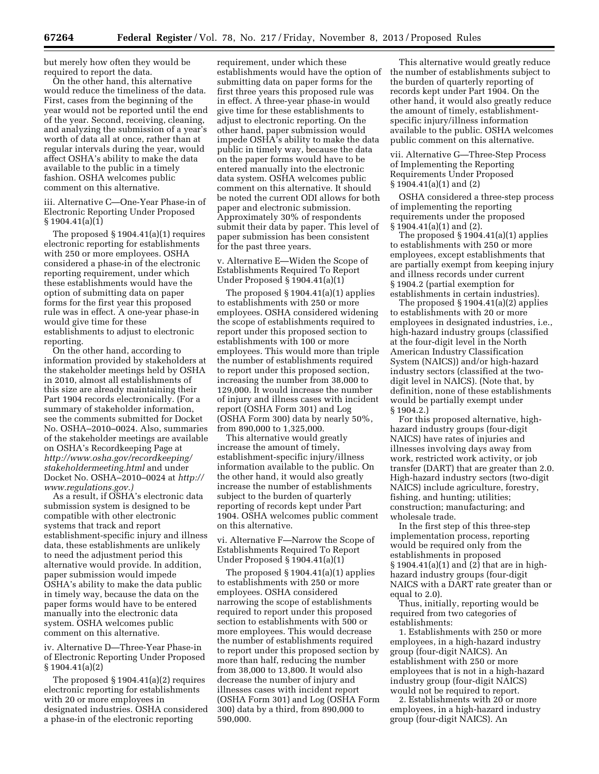but merely how often they would be required to report the data.

On the other hand, this alternative would reduce the timeliness of the data. First, cases from the beginning of the year would not be reported until the end of the year. Second, receiving, cleaning, and analyzing the submission of a year's worth of data all at once, rather than at regular intervals during the year, would affect OSHA's ability to make the data available to the public in a timely fashion. OSHA welcomes public comment on this alternative.

iii. Alternative C—One-Year Phase-in of Electronic Reporting Under Proposed § 1904.41(a)(1)

The proposed § 1904.41(a)(1) requires electronic reporting for establishments with 250 or more employees. OSHA considered a phase-in of the electronic reporting requirement, under which these establishments would have the option of submitting data on paper forms for the first year this proposed rule was in effect. A one-year phase-in would give time for these establishments to adjust to electronic reporting.

On the other hand, according to information provided by stakeholders at the stakeholder meetings held by OSHA in 2010, almost all establishments of this size are already maintaining their Part 1904 records electronically. (For a summary of stakeholder information, see the comments submitted for Docket No. OSHA–2010–0024. Also, summaries of the stakeholder meetings are available on OSHA's Recordkeeping Page at *[http://www.osha.gov/recordkeeping/](http://www.osha.gov/recordkeeping/stakeholdermeeting.html) [stakeholdermeeting.html](http://www.osha.gov/recordkeeping/stakeholdermeeting.html)* and under Docket No. OSHA–2010–0024 at *[http://](http://www.regulations.gov) [www.regulations.gov.\)](http://www.regulations.gov)* 

As a result, if OSHA's electronic data submission system is designed to be compatible with other electronic systems that track and report establishment-specific injury and illness data, these establishments are unlikely to need the adjustment period this alternative would provide. In addition, paper submission would impede OSHA's ability to make the data public in timely way, because the data on the paper forms would have to be entered manually into the electronic data system. OSHA welcomes public comment on this alternative.

iv. Alternative D—Three-Year Phase-in of Electronic Reporting Under Proposed § 1904.41(a)(2)

The proposed § 1904.41(a)(2) requires electronic reporting for establishments with 20 or more employees in designated industries. OSHA considered a phase-in of the electronic reporting

requirement, under which these establishments would have the option of submitting data on paper forms for the first three years this proposed rule was in effect. A three-year phase-in would give time for these establishments to adjust to electronic reporting. On the other hand, paper submission would impede OSHA's ability to make the data public in timely way, because the data on the paper forms would have to be entered manually into the electronic data system. OSHA welcomes public comment on this alternative. It should be noted the current ODI allows for both paper and electronic submission. Approximately 30% of respondents submit their data by paper. This level of paper submission has been consistent for the past three years.

v. Alternative E—Widen the Scope of Establishments Required To Report Under Proposed § 1904.41(a)(1)

The proposed § 1904.41(a)(1) applies to establishments with 250 or more employees. OSHA considered widening the scope of establishments required to report under this proposed section to establishments with 100 or more employees. This would more than triple the number of establishments required to report under this proposed section, increasing the number from 38,000 to 129,000. It would increase the number of injury and illness cases with incident report (OSHA Form 301) and Log (OSHA Form 300) data by nearly 50%, from 890,000 to 1,325,000.

This alternative would greatly increase the amount of timely, establishment-specific injury/illness information available to the public. On the other hand, it would also greatly increase the number of establishments subject to the burden of quarterly reporting of records kept under Part 1904. OSHA welcomes public comment on this alternative.

vi. Alternative F—Narrow the Scope of Establishments Required To Report Under Proposed § 1904.41(a)(1)

The proposed § 1904.41(a)(1) applies to establishments with 250 or more employees. OSHA considered narrowing the scope of establishments required to report under this proposed section to establishments with 500 or more employees. This would decrease the number of establishments required to report under this proposed section by more than half, reducing the number from 38,000 to 13,800. It would also decrease the number of injury and illnesses cases with incident report (OSHA Form 301) and Log (OSHA Form 300) data by a third, from 890,000 to 590,000.

This alternative would greatly reduce the number of establishments subject to the burden of quarterly reporting of records kept under Part 1904. On the other hand, it would also greatly reduce the amount of timely, establishmentspecific injury/illness information available to the public. OSHA welcomes public comment on this alternative.

vii. Alternative G—Three-Step Process of Implementing the Reporting Requirements Under Proposed § 1904.41(a)(1) and (2)

OSHA considered a three-step process of implementing the reporting requirements under the proposed § 1904.41(a)(1) and (2).

The proposed  $§ 1904.41(a)(1)$  applies to establishments with 250 or more employees, except establishments that are partially exempt from keeping injury and illness records under current § 1904.2 (partial exemption for establishments in certain industries).

The proposed § 1904.41(a)(2) applies to establishments with 20 or more employees in designated industries, i.e., high-hazard industry groups (classified at the four-digit level in the North American Industry Classification System (NAICS)) and/or high-hazard industry sectors (classified at the twodigit level in NAICS). (Note that, by definition, none of these establishments would be partially exempt under § 1904.2.)

For this proposed alternative, highhazard industry groups (four-digit NAICS) have rates of injuries and illnesses involving days away from work, restricted work activity, or job transfer (DART) that are greater than 2.0. High-hazard industry sectors (two-digit NAICS) include agriculture, forestry, fishing, and hunting; utilities; construction; manufacturing; and wholesale trade.

In the first step of this three-step implementation process, reporting would be required only from the establishments in proposed § 1904.41(a)(1) and (2) that are in highhazard industry groups (four-digit NAICS with a DART rate greater than or equal to 2.0).

Thus, initially, reporting would be required from two categories of establishments:

1. Establishments with 250 or more employees, in a high-hazard industry group (four-digit NAICS). An establishment with 250 or more employees that is not in a high-hazard industry group (four-digit NAICS) would not be required to report.

2. Establishments with 20 or more employees, in a high-hazard industry group (four-digit NAICS). An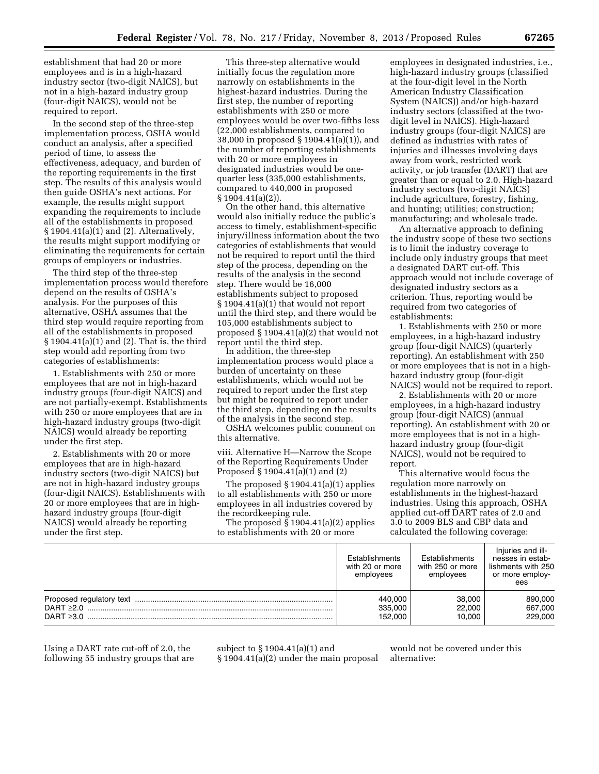establishment that had 20 or more employees and is in a high-hazard industry sector (two-digit NAICS), but not in a high-hazard industry group (four-digit NAICS), would not be required to report.

In the second step of the three-step implementation process, OSHA would conduct an analysis, after a specified period of time, to assess the effectiveness, adequacy, and burden of the reporting requirements in the first step. The results of this analysis would then guide OSHA's next actions. For example, the results might support expanding the requirements to include all of the establishments in proposed § 1904.41(a)(1) and (2). Alternatively, the results might support modifying or eliminating the requirements for certain groups of employers or industries.

The third step of the three-step implementation process would therefore depend on the results of OSHA's analysis. For the purposes of this alternative, OSHA assumes that the third step would require reporting from all of the establishments in proposed § 1904.41(a)(1) and (2). That is, the third step would add reporting from two categories of establishments:

1. Establishments with 250 or more employees that are not in high-hazard industry groups (four-digit NAICS) and are not partially-exempt. Establishments with 250 or more employees that are in high-hazard industry groups (two-digit NAICS) would already be reporting under the first step.

2. Establishments with 20 or more employees that are in high-hazard industry sectors (two-digit NAICS) but are not in high-hazard industry groups (four-digit NAICS). Establishments with 20 or more employees that are in highhazard industry groups (four-digit NAICS) would already be reporting under the first step.

This three-step alternative would initially focus the regulation more narrowly on establishments in the highest-hazard industries. During the first step, the number of reporting establishments with 250 or more employees would be over two-fifths less (22,000 establishments, compared to 38,000 in proposed § 1904.41(a)(1)), and the number of reporting establishments with 20 or more employees in designated industries would be onequarter less (335,000 establishments, compared to 440,000 in proposed § 1904.41(a)(2)).

On the other hand, this alternative would also initially reduce the public's access to timely, establishment-specific injury/illness information about the two categories of establishments that would not be required to report until the third step of the process, depending on the results of the analysis in the second step. There would be 16,000 establishments subject to proposed § 1904.41(a)(1) that would not report until the third step, and there would be 105,000 establishments subject to proposed § 1904.41(a)(2) that would not report until the third step.

In addition, the three-step implementation process would place a burden of uncertainty on these establishments, which would not be required to report under the first step but might be required to report under the third step, depending on the results of the analysis in the second step.

OSHA welcomes public comment on this alternative.

viii. Alternative H—Narrow the Scope of the Reporting Requirements Under Proposed § 1904.41(a)(1) and (2)

The proposed  $\S 1904.41(a)(1)$  applies to all establishments with 250 or more employees in all industries covered by the recordkeeping rule.

The proposed § 1904.41(a)(2) applies to establishments with 20 or more

employees in designated industries, i.e., high-hazard industry groups (classified at the four-digit level in the North American Industry Classification System (NAICS)) and/or high-hazard industry sectors (classified at the twodigit level in NAICS). High-hazard industry groups (four-digit NAICS) are defined as industries with rates of injuries and illnesses involving days away from work, restricted work activity, or job transfer (DART) that are greater than or equal to 2.0. High-hazard industry sectors (two-digit NAICS) include agriculture, forestry, fishing, and hunting; utilities; construction; manufacturing; and wholesale trade.

An alternative approach to defining the industry scope of these two sections is to limit the industry coverage to include only industry groups that meet a designated DART cut-off. This approach would not include coverage of designated industry sectors as a criterion. Thus, reporting would be required from two categories of establishments:

1. Establishments with 250 or more employees, in a high-hazard industry group (four-digit NAICS) (quarterly reporting). An establishment with 250 or more employees that is not in a highhazard industry group (four-digit NAICS) would not be required to report.

2. Establishments with 20 or more employees, in a high-hazard industry group (four-digit NAICS) (annual reporting). An establishment with 20 or more employees that is not in a highhazard industry group (four-digit NAICS), would not be required to report.

This alternative would focus the regulation more narrowly on establishments in the highest-hazard industries. Using this approach, OSHA applied cut-off DART rates of 2.0 and 3.0 to 2009 BLS and CBP data and calculated the following coverage:

|                                                                | Establishments<br>with 20 or more<br>employees | Establishments<br>with 250 or more<br>employees | Injuries and ill-<br>nesses in estab-<br>lishments with 250<br>or more employ-<br>ees |
|----------------------------------------------------------------|------------------------------------------------|-------------------------------------------------|---------------------------------------------------------------------------------------|
| Proposed regulatory text<br>DART $\geq 2.0$<br>DART $\geq 3.0$ | 440,000<br>335,000<br>152.000                  | 38,000<br>22,000<br>10.000                      | 890,000<br>667,000<br>229,000                                                         |

Using a DART rate cut-off of 2.0, the following 55 industry groups that are subject to § 1904.41(a)(1) and § 1904.41(a)(2) under the main proposal

would not be covered under this alternative: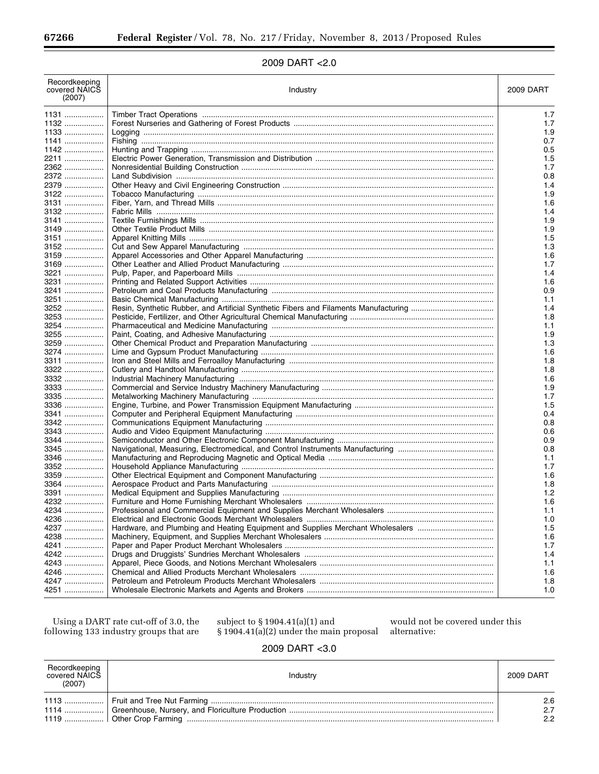|  | 2009 DART < 2.0 |  |
|--|-----------------|--|
|--|-----------------|--|

| Recordkeeping<br>covered NAICS<br>(2007) | Industry                                                                       | 2009 DART  |
|------------------------------------------|--------------------------------------------------------------------------------|------------|
| 1131                                     |                                                                                | 1.7        |
| 1132                                     |                                                                                | 1.7        |
| 1133                                     |                                                                                | 1.9        |
| 1141                                     |                                                                                | 0.7        |
| 1142                                     |                                                                                | 0.5        |
| 2211                                     |                                                                                | 1.5        |
| 2362                                     |                                                                                | 1.7        |
| 2372                                     |                                                                                | 0.8        |
| 2379                                     |                                                                                | 1.4        |
| 3122                                     |                                                                                | 1.9        |
| 3131                                     |                                                                                | 1.6        |
| 3132                                     |                                                                                | 1.4        |
| 3141                                     |                                                                                | 1.9        |
| 3149                                     |                                                                                | 1.9        |
| 3151                                     |                                                                                | 1.5        |
| 3152                                     |                                                                                | 1.3        |
| 3159                                     |                                                                                | 1.6        |
| 3169                                     |                                                                                | 1.7        |
| 3221                                     |                                                                                | 1.4        |
| 3231                                     |                                                                                | 1.6        |
| 3241                                     |                                                                                | 0.9        |
| 3251                                     |                                                                                | 1.1        |
| 3252                                     |                                                                                | 1.4        |
| 3253                                     |                                                                                | 1.8        |
| 3254                                     |                                                                                | 1.1        |
| 3255                                     |                                                                                | 1.9        |
| 3259                                     |                                                                                | 1.3        |
| 3274                                     |                                                                                | 1.6        |
| 3311                                     |                                                                                | 1.8        |
| 3322                                     |                                                                                | 1.8        |
| 3332                                     |                                                                                | 1.6        |
| 3333                                     |                                                                                | 1.9        |
| 3335                                     |                                                                                | 1.7        |
| 3336                                     |                                                                                | 1.5        |
| 3341                                     |                                                                                | 0.4        |
| 3342                                     |                                                                                | 0.8        |
| 3343                                     |                                                                                | 0.6        |
| 3344                                     |                                                                                | 0.9        |
| 3345                                     |                                                                                | 0.8        |
| 3346                                     |                                                                                | 1.1        |
| 3352                                     |                                                                                | 1.7        |
| 3359                                     |                                                                                | 1.6        |
| 3364                                     |                                                                                |            |
| 3391                                     |                                                                                | 1.8<br>1.2 |
| 4232                                     |                                                                                |            |
|                                          |                                                                                | 1.6        |
| 4234                                     |                                                                                | 1.1        |
| 4236                                     |                                                                                | 1.0        |
| 4237                                     | Hardware, and Plumbing and Heating Equipment and Supplies Merchant Wholesalers | 1.5        |
| 4238                                     |                                                                                | 1.6        |
| 4241                                     |                                                                                | 1.7        |
| 4242                                     |                                                                                | 1.4        |
| 4243                                     |                                                                                | 1.1        |
| 4246                                     |                                                                                | 1.6        |
| 4247                                     |                                                                                | 1.8        |
| 4251                                     |                                                                                | 1.0        |

Using a DART rate cut-off of 3.0, the following 133 industry groups that are

subject to §1904.41(a)(1) and  $\S$ 1904.41(a)(2) under the main proposal would not be covered under this alternative:

### 2009 DART < 3.0

| Recordkeeping<br>covered NAICS<br>(2007) | Industry | 2009 DART        |
|------------------------------------------|----------|------------------|
|                                          |          | 2.6<br>2.7<br>22 |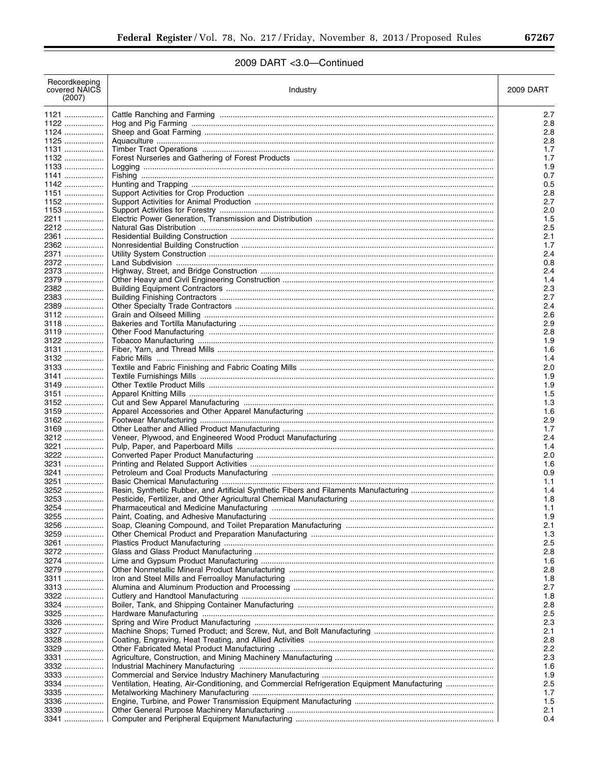▀

# 2009 DART <3.0-Continued

| Recordkeeping<br>covered NAICS<br>(2007) | Industry                                                                                     | 2009 DART    |
|------------------------------------------|----------------------------------------------------------------------------------------------|--------------|
| 1121                                     |                                                                                              | 2.7          |
| 1122                                     |                                                                                              | $2.\epsilon$ |
| 1124                                     |                                                                                              | 2.8          |
| $1125$                                   |                                                                                              | $2.\epsilon$ |
| 1131<br>1132                             |                                                                                              | 1.7<br>1.7   |
| $1133$                                   |                                                                                              | 1.9          |
| $1141$                                   |                                                                                              | 0.7          |
| $1142$                                   |                                                                                              | 0.5          |
| 1151                                     |                                                                                              | $2.\epsilon$ |
| 1152                                     |                                                                                              | 2.7          |
| 1153<br>2211                             |                                                                                              | 2.0<br>1.5   |
| 2212                                     |                                                                                              | 2.5          |
| 2361                                     |                                                                                              | 2.1          |
| 2362                                     |                                                                                              | 1.7          |
| 2371                                     |                                                                                              | 2.4          |
| 2372                                     |                                                                                              | 0.8          |
| 2373<br>2379                             |                                                                                              | 2.4<br>1.4   |
| 2382                                     |                                                                                              | 2.3          |
| 2383                                     |                                                                                              | 2.7          |
| 2389                                     |                                                                                              | 2.4          |
| 3112                                     |                                                                                              | 2.6          |
| $3118$                                   |                                                                                              | 2.9          |
| $3119$                                   |                                                                                              | $2.\epsilon$ |
| 3122<br>3131                             |                                                                                              | 1.9          |
| 3132                                     |                                                                                              | 1.6<br>1.4   |
| 3133                                     |                                                                                              | 2.0          |
| 3141                                     |                                                                                              | 1.9          |
| 3149                                     |                                                                                              | 1.9          |
| 3151                                     |                                                                                              | 1.5          |
| 3152                                     |                                                                                              | 1.3          |
| 3159                                     |                                                                                              | 1.6          |
| 3162<br>3169                             |                                                                                              | 2.9<br>1.7   |
| 3212                                     |                                                                                              | 2.4          |
| 3221                                     |                                                                                              | 1.4          |
| 3222                                     |                                                                                              | 2.0          |
| 3231                                     |                                                                                              | 1.6          |
| 3241                                     |                                                                                              | 0.9          |
| $3251$<br>3252                           |                                                                                              | 1.1<br>1.4   |
| 3253                                     |                                                                                              | 1.8          |
| 3254                                     |                                                                                              | 1.1          |
| 3255                                     |                                                                                              | 1.9          |
| 3256                                     |                                                                                              | 2.1          |
| 3259                                     |                                                                                              | 1.3          |
| 3261                                     |                                                                                              | 2.5          |
| 3272<br>3274                             |                                                                                              | 2.8<br>1.6   |
| 3279                                     |                                                                                              | $2.\epsilon$ |
| 3311                                     |                                                                                              | 1.8          |
| 3313                                     |                                                                                              | 2.7          |
| 3322                                     |                                                                                              | 1.8          |
| 3324                                     |                                                                                              | $2.\epsilon$ |
| 3325                                     |                                                                                              | 2.5          |
| 3326<br>3327                             |                                                                                              | 2.3<br>2.1   |
| 3328                                     |                                                                                              | $2.\epsilon$ |
| 3329                                     |                                                                                              | 2.2          |
| 3331                                     |                                                                                              | 2.3          |
| 3332                                     |                                                                                              | 1.6          |
| 3333                                     |                                                                                              | 1.9          |
| 3334                                     | Ventilation, Heating, Air-Conditioning, and Commercial Refrigeration Equipment Manufacturing | 2.5          |
| 3335<br>3336                             |                                                                                              | 1.7<br>1.5   |
| 3339                                     |                                                                                              | 2.1          |
| 3341                                     |                                                                                              | 0.4          |
|                                          |                                                                                              |              |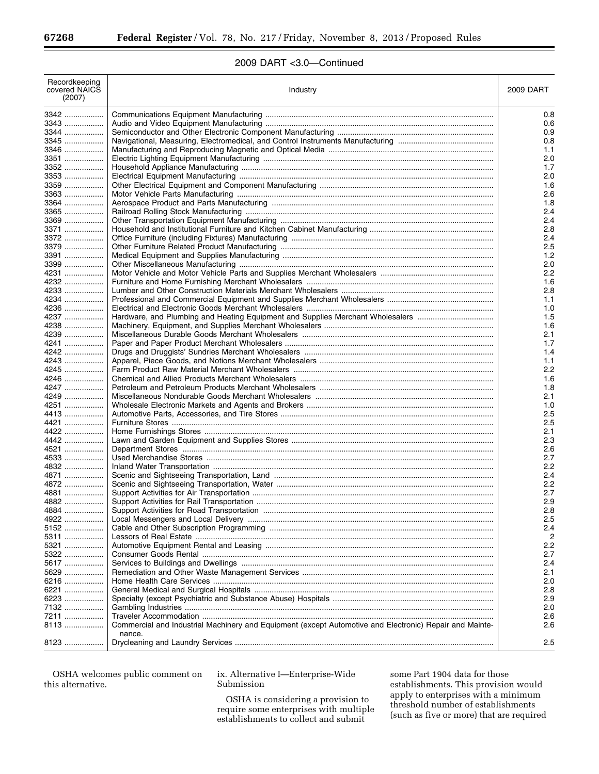# 2009 DART <3.0—Continued

| Recordkeeping<br>covered NAICS<br>(2007) | Industry                                                                                                          | 2009 DART  |
|------------------------------------------|-------------------------------------------------------------------------------------------------------------------|------------|
| 3342                                     |                                                                                                                   | 0.8        |
| 3343                                     |                                                                                                                   | 0.6        |
| 3344                                     |                                                                                                                   | 0.9        |
| 3345                                     |                                                                                                                   | 0.8        |
| 3346                                     |                                                                                                                   | 1.1        |
| 3351                                     |                                                                                                                   | 2.0        |
| 3352                                     |                                                                                                                   | 1.7        |
| 3353                                     |                                                                                                                   | 2.0        |
| 3359                                     |                                                                                                                   | 1.6        |
| 3363                                     |                                                                                                                   | 2.6        |
| 3364                                     |                                                                                                                   | 1.8        |
| 3365                                     |                                                                                                                   | 2.4        |
| 3369                                     |                                                                                                                   | 2.4        |
| 3371                                     |                                                                                                                   | 2.8        |
| 3372                                     |                                                                                                                   | 2.4        |
| 3379                                     |                                                                                                                   | 2.5        |
| 3391                                     |                                                                                                                   | 1.2        |
| 3399                                     |                                                                                                                   | 2.0        |
| 4231                                     |                                                                                                                   | 2.2        |
| 4232                                     |                                                                                                                   | 1.6        |
| 4233                                     |                                                                                                                   | 2.8        |
| 4234                                     |                                                                                                                   | 1.1        |
| 4236                                     |                                                                                                                   | 1.0        |
| 4237                                     | Hardware, and Plumbing and Heating Equipment and Supplies Merchant Wholesalers                                    | 1.5        |
| 4238                                     |                                                                                                                   | 1.6        |
| 4239                                     |                                                                                                                   | 2.1        |
| 4241                                     |                                                                                                                   | 1.7        |
| 4242                                     |                                                                                                                   | 1.4        |
| 4243                                     |                                                                                                                   | 1.1        |
| 4245                                     |                                                                                                                   | 2.2        |
| 4246                                     |                                                                                                                   | 1.6        |
| 4247<br>4249                             |                                                                                                                   | 1.8<br>2.1 |
| 4251                                     |                                                                                                                   | 1.0        |
| 4413                                     |                                                                                                                   | 2.5        |
| 4421                                     |                                                                                                                   | 2.5        |
| 4422                                     |                                                                                                                   | 2.1        |
| 4442                                     |                                                                                                                   | 2.3        |
| 4521                                     |                                                                                                                   | 2.6        |
| 4533                                     |                                                                                                                   | 2.7        |
| 4832                                     |                                                                                                                   | 2.2        |
| 4871                                     |                                                                                                                   | 2.4        |
| 4872                                     |                                                                                                                   | 2.2        |
| 4881                                     |                                                                                                                   | 2.7        |
| 4882                                     |                                                                                                                   | 2.9        |
| 4884                                     |                                                                                                                   | 2.8        |
| 4922                                     |                                                                                                                   | 2.5        |
| 5152                                     |                                                                                                                   | 2.4        |
| 5311                                     |                                                                                                                   | 2          |
| 5321                                     |                                                                                                                   | 2.2        |
| 5322                                     |                                                                                                                   | 2.7        |
| 5617                                     |                                                                                                                   | 2.4        |
| 5629                                     |                                                                                                                   | 2.1        |
| 6216                                     |                                                                                                                   | 2.0        |
| 6221                                     |                                                                                                                   | 2.8        |
| 6223                                     |                                                                                                                   | 2.9        |
| 7132                                     |                                                                                                                   | 2.0        |
| 7211                                     |                                                                                                                   | 2.6        |
| 8113                                     | Commercial and Industrial Machinery and Equipment (except Automotive and Electronic) Repair and Mainte-<br>nance. | 2.6        |
| 8123                                     |                                                                                                                   | 2.5        |
|                                          |                                                                                                                   |            |

OSHA welcomes public comment on this alternative.

ix. Alternative I—Enterprise-Wide Submission

OSHA is considering a provision to require some enterprises with multiple establishments to collect and submit

some Part 1904 data for those establishments. This provision would apply to enterprises with a minimum threshold number of establishments (such as five or more) that are required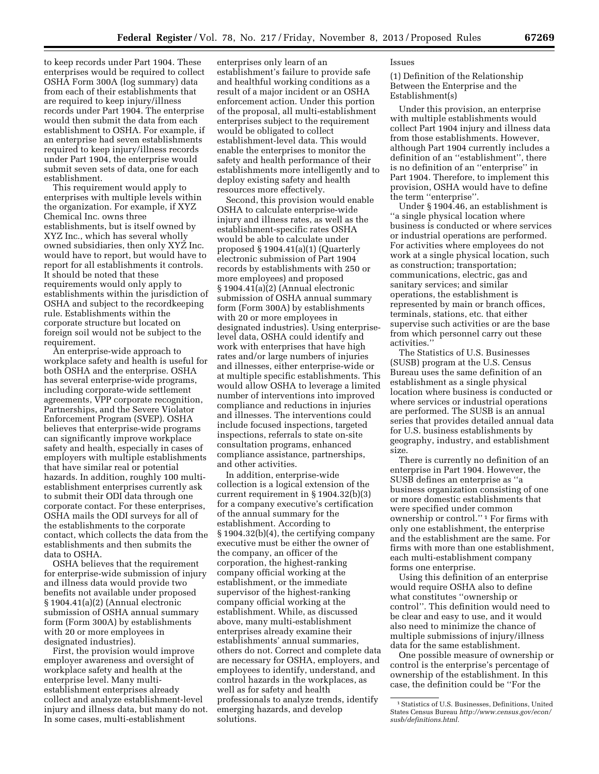to keep records under Part 1904. These enterprises would be required to collect OSHA Form 300A (log summary) data from each of their establishments that are required to keep injury/illness records under Part 1904. The enterprise would then submit the data from each establishment to OSHA. For example, if an enterprise had seven establishments required to keep injury/illness records under Part 1904, the enterprise would submit seven sets of data, one for each establishment.

This requirement would apply to enterprises with multiple levels within the organization. For example, if XYZ Chemical Inc. owns three establishments, but is itself owned by XYZ Inc., which has several wholly owned subsidiaries, then only XYZ Inc. would have to report, but would have to report for all establishments it controls. It should be noted that these requirements would only apply to establishments within the jurisdiction of OSHA and subject to the recordkeeping rule. Establishments within the corporate structure but located on foreign soil would not be subject to the requirement.

An enterprise-wide approach to workplace safety and health is useful for both OSHA and the enterprise. OSHA has several enterprise-wide programs, including corporate-wide settlement agreements, VPP corporate recognition, Partnerships, and the Severe Violator Enforcement Program (SVEP). OSHA believes that enterprise-wide programs can significantly improve workplace safety and health, especially in cases of employers with multiple establishments that have similar real or potential hazards. In addition, roughly 100 multiestablishment enterprises currently ask to submit their ODI data through one corporate contact. For these enterprises, OSHA mails the ODI surveys for all of the establishments to the corporate contact, which collects the data from the establishments and then submits the data to OSHA.

OSHA believes that the requirement for enterprise-wide submission of injury and illness data would provide two benefits not available under proposed § 1904.41(a)(2) (Annual electronic submission of OSHA annual summary form (Form 300A) by establishments with 20 or more employees in designated industries).

First, the provision would improve employer awareness and oversight of workplace safety and health at the enterprise level. Many multiestablishment enterprises already collect and analyze establishment-level injury and illness data, but many do not. In some cases, multi-establishment

enterprises only learn of an establishment's failure to provide safe and healthful working conditions as a result of a major incident or an OSHA enforcement action. Under this portion of the proposal, all multi-establishment enterprises subject to the requirement would be obligated to collect establishment-level data. This would enable the enterprises to monitor the safety and health performance of their establishments more intelligently and to deploy existing safety and health resources more effectively.

Second, this provision would enable OSHA to calculate enterprise-wide injury and illness rates, as well as the establishment-specific rates OSHA would be able to calculate under proposed § 1904.41(a)(1) (Quarterly electronic submission of Part 1904 records by establishments with 250 or more employees) and proposed § 1904.41(a)(2) (Annual electronic submission of OSHA annual summary form (Form 300A) by establishments with 20 or more employees in designated industries). Using enterpriselevel data, OSHA could identify and work with enterprises that have high rates and/or large numbers of injuries and illnesses, either enterprise-wide or at multiple specific establishments. This would allow OSHA to leverage a limited number of interventions into improved compliance and reductions in injuries and illnesses. The interventions could include focused inspections, targeted inspections, referrals to state on-site consultation programs, enhanced compliance assistance, partnerships, and other activities.

In addition, enterprise-wide collection is a logical extension of the current requirement in § 1904.32(b)(3) for a company executive's certification of the annual summary for the establishment. According to § 1904.32(b)(4), the certifying company executive must be either the owner of the company, an officer of the corporation, the highest-ranking company official working at the establishment, or the immediate supervisor of the highest-ranking company official working at the establishment. While, as discussed above, many multi-establishment enterprises already examine their establishments' annual summaries, others do not. Correct and complete data are necessary for OSHA, employers, and employees to identify, understand, and control hazards in the workplaces, as well as for safety and health professionals to analyze trends, identify emerging hazards, and develop solutions.

#### Issues

(1) Definition of the Relationship Between the Enterprise and the Establishment(s)

Under this provision, an enterprise with multiple establishments would collect Part 1904 injury and illness data from those establishments. However, although Part 1904 currently includes a definition of an ''establishment'', there is no definition of an ''enterprise'' in Part 1904. Therefore, to implement this provision, OSHA would have to define the term ''enterprise''.

Under § 1904.46, an establishment is ''a single physical location where business is conducted or where services or industrial operations are performed. For activities where employees do not work at a single physical location, such as construction; transportation; communications, electric, gas and sanitary services; and similar operations, the establishment is represented by main or branch offices, terminals, stations, etc. that either supervise such activities or are the base from which personnel carry out these activities.''

The Statistics of U.S. Businesses (SUSB) program at the U.S. Census Bureau uses the same definition of an establishment as a single physical location where business is conducted or where services or industrial operations are performed. The SUSB is an annual series that provides detailed annual data for U.S. business establishments by geography, industry, and establishment size.

There is currently no definition of an enterprise in Part 1904. However, the SUSB defines an enterprise as ''a business organization consisting of one or more domestic establishments that were specified under common ownership or control.'' 1 For firms with only one establishment, the enterprise and the establishment are the same. For firms with more than one establishment, each multi-establishment company forms one enterprise.

Using this definition of an enterprise would require OSHA also to define what constitutes ''ownership or control''. This definition would need to be clear and easy to use, and it would also need to minimize the chance of multiple submissions of injury/illness data for the same establishment.

One possible measure of ownership or control is the enterprise's percentage of ownership of the establishment. In this case, the definition could be ''For the

<sup>1</sup>Statistics of U.S. Businesses, Definitions, United States Census Bureau *[http://www.census.gov/econ/](http://www.census.gov/econ/susb/definitions.html)  [susb/definitions.html.](http://www.census.gov/econ/susb/definitions.html)*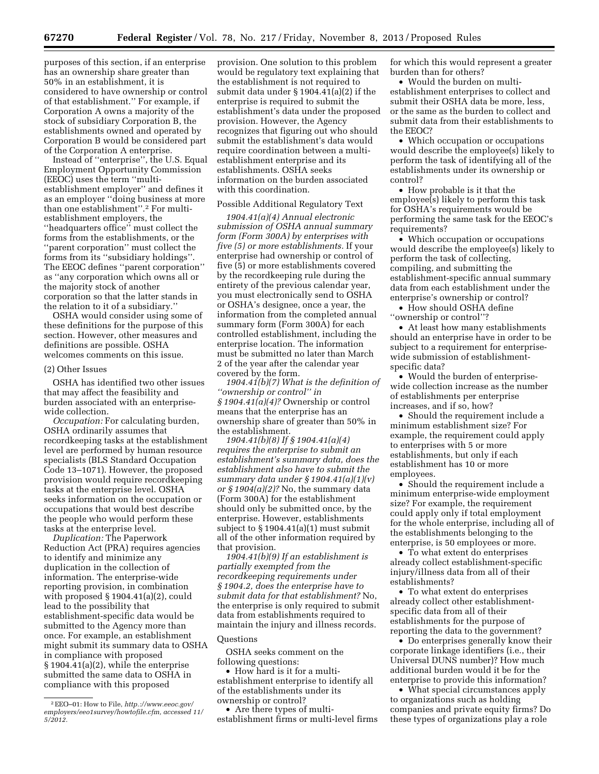purposes of this section, if an enterprise has an ownership share greater than 50% in an establishment, it is considered to have ownership or control

of that establishment.'' For example, if Corporation A owns a majority of the stock of subsidiary Corporation B, the establishments owned and operated by Corporation B would be considered part of the Corporation A enterprise.

Instead of ''enterprise'', the U.S. Equal Employment Opportunity Commission (EEOC) uses the term ''multiestablishment employer'' and defines it as an employer ''doing business at more than one establishment''.2 For multiestablishment employers, the ''headquarters office'' must collect the forms from the establishments, or the ''parent corporation'' must collect the forms from its ''subsidiary holdings''. The EEOC defines ''parent corporation'' as ''any corporation which owns all or the majority stock of another corporation so that the latter stands in the relation to it of a subsidiary.''

OSHA would consider using some of these definitions for the purpose of this section. However, other measures and definitions are possible. OSHA welcomes comments on this issue.

#### (2) Other Issues

OSHA has identified two other issues that may affect the feasibility and burden associated with an enterprisewide collection.

*Occupation:* For calculating burden, OSHA ordinarily assumes that recordkeeping tasks at the establishment level are performed by human resource specialists (BLS Standard Occupation Code 13–1071). However, the proposed provision would require recordkeeping tasks at the enterprise level. OSHA seeks information on the occupation or occupations that would best describe the people who would perform these tasks at the enterprise level.

*Duplication:* The Paperwork Reduction Act (PRA) requires agencies to identify and minimize any duplication in the collection of information. The enterprise-wide reporting provision, in combination with proposed § 1904.41(a)(2), could lead to the possibility that establishment-specific data would be submitted to the Agency more than once. For example, an establishment might submit its summary data to OSHA in compliance with proposed § 1904.41(a)(2), while the enterprise submitted the same data to OSHA in compliance with this proposed

provision. One solution to this problem would be regulatory text explaining that the establishment is not required to submit data under § 1904.41(a)(2) if the enterprise is required to submit the establishment's data under the proposed provision. However, the Agency recognizes that figuring out who should submit the establishment's data would require coordination between a multiestablishment enterprise and its establishments. OSHA seeks information on the burden associated with this coordination.

#### Possible Additional Regulatory Text

*1904.41(a)(4) Annual electronic submission of OSHA annual summary form (Form 300A) by enterprises with five (5) or more establishments.* If your enterprise had ownership or control of five (5) or more establishments covered by the recordkeeping rule during the entirety of the previous calendar year, you must electronically send to OSHA or OSHA's designee, once a year, the information from the completed annual summary form (Form 300A) for each controlled establishment, including the enterprise location. The information must be submitted no later than March 2 of the year after the calendar year covered by the form.

*1904.41(b)(7) What is the definition of ''ownership or control'' in § 1904.41(a)(4)?* Ownership or control means that the enterprise has an ownership share of greater than 50% in the establishment.

*1904.41(b)(8) If § 1904.41(a)(4) requires the enterprise to submit an establishment's summary data, does the establishment also have to submit the summary data under § 1904.41(a)(1)(v) or § 1904(a)(2)?* No, the summary data (Form 300A) for the establishment should only be submitted once, by the enterprise. However, establishments subject to § 1904.41(a)(1) must submit all of the other information required by that provision.

*1904.41(b)(9) If an establishment is partially exempted from the recordkeeping requirements under § 1904.2, does the enterprise have to submit data for that establishment?* No, the enterprise is only required to submit data from establishments required to maintain the injury and illness records.

#### Questions

OSHA seeks comment on the following questions:

• How hard is it for a multiestablishment enterprise to identify all of the establishments under its ownership or control?

• Are there types of multiestablishment firms or multi-level firms for which this would represent a greater burden than for others?

• Would the burden on multiestablishment enterprises to collect and submit their OSHA data be more, less, or the same as the burden to collect and submit data from their establishments to the EEOC?

• Which occupation or occupations would describe the employee(s) likely to perform the task of identifying all of the establishments under its ownership or control?

• How probable is it that the employee(s) likely to perform this task for OSHA's requirements would be performing the same task for the EEOC's requirements?

• Which occupation or occupations would describe the employee(s) likely to perform the task of collecting, compiling, and submitting the establishment-specific annual summary data from each establishment under the enterprise's ownership or control?

• How should OSHA define ''ownership or control''?

• At least how many establishments should an enterprise have in order to be subject to a requirement for enterprisewide submission of establishmentspecific data?

• Would the burden of enterprisewide collection increase as the number of establishments per enterprise increases, and if so, how?

• Should the requirement include a minimum establishment size? For example, the requirement could apply to enterprises with 5 or more establishments, but only if each establishment has 10 or more employees.

• Should the requirement include a minimum enterprise-wide employment size? For example, the requirement could apply only if total employment for the whole enterprise, including all of the establishments belonging to the enterprise, is 50 employees or more.

• To what extent do enterprises already collect establishment-specific injury/illness data from all of their establishments?

• To what extent do enterprises already collect other establishmentspecific data from all of their establishments for the purpose of reporting the data to the government?

• Do enterprises generally know their corporate linkage identifiers (i.e., their Universal DUNS number)? How much additional burden would it be for the enterprise to provide this information?

• What special circumstances apply to organizations such as holding companies and private equity firms? Do these types of organizations play a role

<sup>2</sup>EEO–01: How to File, *[http.://www.eeoc.gov/](http.://www.eeoc.gov/employers/eeo1survey/howtofile.cfm) [employers/eeo1survey/howtofile.cfm,](http.://www.eeoc.gov/employers/eeo1survey/howtofile.cfm) accessed 11/ 5/2012.*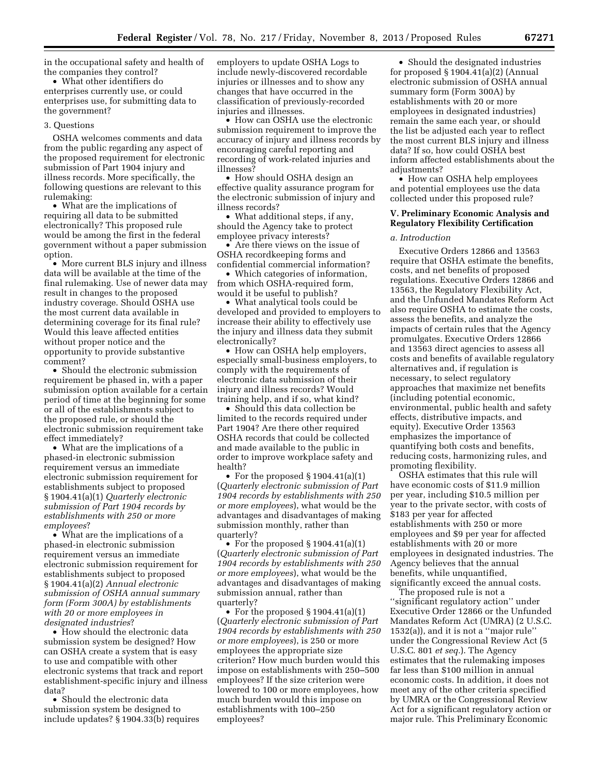in the occupational safety and health of the companies they control?

• What other identifiers do enterprises currently use, or could enterprises use, for submitting data to the government?

#### 3. Questions

OSHA welcomes comments and data from the public regarding any aspect of the proposed requirement for electronic submission of Part 1904 injury and illness records. More specifically, the following questions are relevant to this rulemaking:

• What are the implications of requiring all data to be submitted electronically? This proposed rule would be among the first in the federal government without a paper submission option.

• More current BLS injury and illness data will be available at the time of the final rulemaking. Use of newer data may result in changes to the proposed industry coverage. Should OSHA use the most current data available in determining coverage for its final rule? Would this leave affected entities without proper notice and the opportunity to provide substantive comment?

• Should the electronic submission requirement be phased in, with a paper submission option available for a certain period of time at the beginning for some or all of the establishments subject to the proposed rule, or should the electronic submission requirement take effect immediately?

• What are the implications of a phased-in electronic submission requirement versus an immediate electronic submission requirement for establishments subject to proposed § 1904.41(a)(1) *Quarterly electronic submission of Part 1904 records by establishments with 250 or more employees*?

• What are the implications of a phased-in electronic submission requirement versus an immediate electronic submission requirement for establishments subject to proposed § 1904.41(a)(2) *Annual electronic submission of OSHA annual summary form (Form 300A) by establishments with 20 or more employees in designated industries*?

• How should the electronic data submission system be designed? How can OSHA create a system that is easy to use and compatible with other electronic systems that track and report establishment-specific injury and illness data?

• Should the electronic data submission system be designed to include updates? § 1904.33(b) requires employers to update OSHA Logs to include newly-discovered recordable injuries or illnesses and to show any changes that have occurred in the classification of previously-recorded injuries and illnesses.

• How can OSHA use the electronic submission requirement to improve the accuracy of injury and illness records by encouraging careful reporting and recording of work-related injuries and illnesses?

• How should OSHA design an effective quality assurance program for the electronic submission of injury and illness records?

• What additional steps, if any, should the Agency take to protect employee privacy interests?

• Are there views on the issue of OSHA recordkeeping forms and confidential commercial information?

• Which categories of information, from which OSHA-required form, would it be useful to publish?

• What analytical tools could be developed and provided to employers to increase their ability to effectively use the injury and illness data they submit electronically?

• How can OSHA help employers, especially small-business employers, to comply with the requirements of electronic data submission of their injury and illness records? Would training help, and if so, what kind?

• Should this data collection be limited to the records required under Part 1904? Are there other required OSHA records that could be collected and made available to the public in order to improve workplace safety and health?

• For the proposed § 1904.41(a)(1) (*Quarterly electronic submission of Part 1904 records by establishments with 250 or more employees*), what would be the advantages and disadvantages of making submission monthly, rather than quarterly?

• For the proposed § 1904.41(a)(1) (*Quarterly electronic submission of Part 1904 records by establishments with 250 or more employees*), what would be the advantages and disadvantages of making submission annual, rather than quarterly?

• For the proposed § 1904.41(a)(1) (*Quarterly electronic submission of Part 1904 records by establishments with 250 or more employees*), is 250 or more employees the appropriate size criterion? How much burden would this impose on establishments with 250–500 employees? If the size criterion were lowered to 100 or more employees, how much burden would this impose on establishments with 100–250 employees?

• Should the designated industries for proposed § 1904.41(a)(2) (Annual electronic submission of OSHA annual summary form (Form 300A) by establishments with 20 or more employees in designated industries) remain the same each year, or should the list be adjusted each year to reflect the most current BLS injury and illness data? If so, how could OSHA best inform affected establishments about the adjustments?

• How can OSHA help employees and potential employees use the data collected under this proposed rule?

#### **V. Preliminary Economic Analysis and Regulatory Flexibility Certification**

#### *a. Introduction*

Executive Orders 12866 and 13563 require that OSHA estimate the benefits, costs, and net benefits of proposed regulations. Executive Orders 12866 and 13563, the Regulatory Flexibility Act, and the Unfunded Mandates Reform Act also require OSHA to estimate the costs, assess the benefits, and analyze the impacts of certain rules that the Agency promulgates. Executive Orders 12866 and 13563 direct agencies to assess all costs and benefits of available regulatory alternatives and, if regulation is necessary, to select regulatory approaches that maximize net benefits (including potential economic, environmental, public health and safety effects, distributive impacts, and equity). Executive Order 13563 emphasizes the importance of quantifying both costs and benefits, reducing costs, harmonizing rules, and promoting flexibility.

OSHA estimates that this rule will have economic costs of \$11.9 million per year, including \$10.5 million per year to the private sector, with costs of \$183 per year for affected establishments with 250 or more employees and \$9 per year for affected establishments with 20 or more employees in designated industries. The Agency believes that the annual benefits, while unquantified, significantly exceed the annual costs.

The proposed rule is not a ''significant regulatory action'' under Executive Order 12866 or the Unfunded Mandates Reform Act (UMRA) (2 U.S.C. 1532(a)), and it is not a ''major rule'' under the Congressional Review Act (5 U.S.C. 801 *et seq.*). The Agency estimates that the rulemaking imposes far less than \$100 million in annual economic costs. In addition, it does not meet any of the other criteria specified by UMRA or the Congressional Review Act for a significant regulatory action or major rule. This Preliminary Economic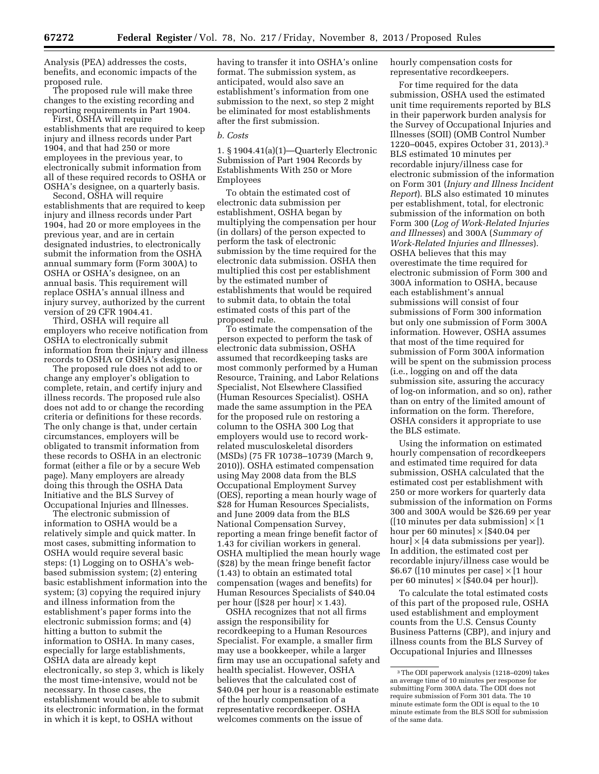Analysis (PEA) addresses the costs, benefits, and economic impacts of the proposed rule.

The proposed rule will make three changes to the existing recording and reporting requirements in Part 1904.

First, OSHA will require establishments that are required to keep injury and illness records under Part 1904, and that had 250 or more employees in the previous year, to electronically submit information from all of these required records to OSHA or OSHA's designee, on a quarterly basis.

Second, OSHA will require establishments that are required to keep injury and illness records under Part 1904, had 20 or more employees in the previous year, and are in certain designated industries, to electronically submit the information from the OSHA annual summary form (Form 300A) to OSHA or OSHA's designee, on an annual basis. This requirement will replace OSHA's annual illness and injury survey, authorized by the current version of 29 CFR 1904.41.

Third, OSHA will require all employers who receive notification from OSHA to electronically submit information from their injury and illness records to OSHA or OSHA's designee.

The proposed rule does not add to or change any employer's obligation to complete, retain, and certify injury and illness records. The proposed rule also does not add to or change the recording criteria or definitions for these records. The only change is that, under certain circumstances, employers will be obligated to transmit information from these records to OSHA in an electronic format (either a file or by a secure Web page). Many employers are already doing this through the OSHA Data Initiative and the BLS Survey of Occupational Injuries and Illnesses.

The electronic submission of information to OSHA would be a relatively simple and quick matter. In most cases, submitting information to OSHA would require several basic steps: (1) Logging on to OSHA's webbased submission system; (2) entering basic establishment information into the system; (3) copying the required injury and illness information from the establishment's paper forms into the electronic submission forms; and (4) hitting a button to submit the information to OSHA. In many cases, especially for large establishments, OSHA data are already kept electronically, so step 3, which is likely the most time-intensive, would not be necessary. In those cases, the establishment would be able to submit its electronic information, in the format in which it is kept, to OSHA without

having to transfer it into OSHA's online format. The submission system, as anticipated, would also save an establishment's information from one submission to the next, so step 2 might be eliminated for most establishments after the first submission.

#### *b. Costs*

1. § 1904.41(a)(1)—Quarterly Electronic Submission of Part 1904 Records by Establishments With 250 or More Employees

To obtain the estimated cost of electronic data submission per establishment, OSHA began by multiplying the compensation per hour (in dollars) of the person expected to perform the task of electronic submission by the time required for the electronic data submission. OSHA then multiplied this cost per establishment by the estimated number of establishments that would be required to submit data, to obtain the total estimated costs of this part of the proposed rule.

To estimate the compensation of the person expected to perform the task of electronic data submission, OSHA assumed that recordkeeping tasks are most commonly performed by a Human Resource, Training, and Labor Relations Specialist, Not Elsewhere Classified (Human Resources Specialist). OSHA made the same assumption in the PEA for the proposed rule on restoring a column to the OSHA 300 Log that employers would use to record workrelated musculoskeletal disorders (MSDs) (75 FR 10738–10739 (March 9, 2010)). OSHA estimated compensation using May 2008 data from the BLS Occupational Employment Survey (OES), reporting a mean hourly wage of \$28 for Human Resources Specialists, and June 2009 data from the BLS National Compensation Survey, reporting a mean fringe benefit factor of 1.43 for civilian workers in general. OSHA multiplied the mean hourly wage (\$28) by the mean fringe benefit factor (1.43) to obtain an estimated total compensation (wages and benefits) for Human Resources Specialists of \$40.04 per hour ([\$28 per hour]  $\times$  1.43).

OSHA recognizes that not all firms assign the responsibility for recordkeeping to a Human Resources Specialist. For example, a smaller firm may use a bookkeeper, while a larger firm may use an occupational safety and health specialist. However, OSHA believes that the calculated cost of \$40.04 per hour is a reasonable estimate of the hourly compensation of a representative recordkeeper. OSHA welcomes comments on the issue of

hourly compensation costs for representative recordkeepers.

For time required for the data submission, OSHA used the estimated unit time requirements reported by BLS in their paperwork burden analysis for the Survey of Occupational Injuries and Illnesses (SOII) (OMB Control Number 1220–0045, expires October 31, 2013).3 BLS estimated 10 minutes per recordable injury/illness case for electronic submission of the information on Form 301 (*Injury and Illness Incident Report*). BLS also estimated 10 minutes per establishment, total, for electronic submission of the information on both Form 300 (*Log of Work-Related Injuries and Illnesses*) and 300A (*Summary of Work-Related Injuries and Illnesses*). OSHA believes that this may overestimate the time required for electronic submission of Form 300 and 300A information to OSHA, because each establishment's annual submissions will consist of four submissions of Form 300 information but only one submission of Form 300A information. However, OSHA assumes that most of the time required for submission of Form 300A information will be spent on the submission process (i.e., logging on and off the data submission site, assuring the accuracy of log-on information, and so on), rather than on entry of the limited amount of information on the form. Therefore, OSHA considers it appropriate to use the BLS estimate.

Using the information on estimated hourly compensation of recordkeepers and estimated time required for data submission, OSHA calculated that the estimated cost per establishment with 250 or more workers for quarterly data submission of the information on Forms 300 and 300A would be \$26.69 per year ( $[10 \text{ minutes per data submission}] \times [1]$ hour per 60 minutes]  $\times$  [\$40.04 per hour]  $\times$  [4 data submissions per year]). In addition, the estimated cost per recordable injury/illness case would be \$6.67 ([10 minutes per case]  $\times$  [1 hour per 60 minutes]  $\times$  [\$40.04 per hour]).

To calculate the total estimated costs of this part of the proposed rule, OSHA used establishment and employment counts from the U.S. Census County Business Patterns (CBP), and injury and illness counts from the BLS Survey of Occupational Injuries and Illnesses

<sup>3</sup>The ODI paperwork analysis (1218–0209) takes an average time of 10 minutes per response for submitting Form 300A data. The ODI does not require submission of Form 301 data. The 10 minute estimate form the ODI is equal to the 10 minute estimate from the BLS SOII for submission of the same data.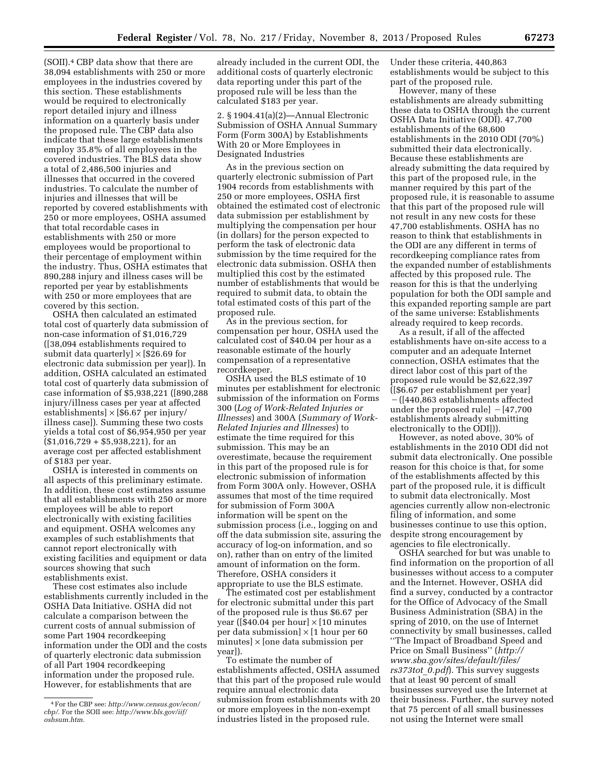(SOII).4 CBP data show that there are 38,094 establishments with 250 or more employees in the industries covered by this section. These establishments would be required to electronically report detailed injury and illness information on a quarterly basis under the proposed rule. The CBP data also indicate that these large establishments employ 35.8% of all employees in the covered industries. The BLS data show a total of 2,486,500 injuries and illnesses that occurred in the covered industries. To calculate the number of injuries and illnesses that will be reported by covered establishments with 250 or more employees, OSHA assumed that total recordable cases in establishments with 250 or more employees would be proportional to their percentage of employment within the industry. Thus, OSHA estimates that 890,288 injury and illness cases will be reported per year by establishments with 250 or more employees that are covered by this section.

OSHA then calculated an estimated total cost of quarterly data submission of non-case information of \$1,016,729 ([38,094 establishments required to submit data quarterly]  $\times$  [\$26.69 for electronic data submission per year]). In addition, OSHA calculated an estimated total cost of quarterly data submission of case information of \$5,938,221 ([890,288 injury/illness cases per year at affected  $estabilishments] \times [\$6.67$  per injury/ illness case]). Summing these two costs yields a total cost of \$6,954,950 per year  $($1,016,729 + $5,938,221)$ , for an average cost per affected establishment of \$183 per year.

OSHA is interested in comments on all aspects of this preliminary estimate. In addition, these cost estimates assume that all establishments with 250 or more employees will be able to report electronically with existing facilities and equipment. OSHA welcomes any examples of such establishments that cannot report electronically with existing facilities and equipment or data sources showing that such establishments exist.

These cost estimates also include establishments currently included in the OSHA Data Initiative. OSHA did not calculate a comparison between the current costs of annual submission of some Part 1904 recordkeeping information under the ODI and the costs of quarterly electronic data submission of all Part 1904 recordkeeping information under the proposed rule. However, for establishments that are

already included in the current ODI, the additional costs of quarterly electronic data reporting under this part of the proposed rule will be less than the calculated \$183 per year.

2. § 1904.41(a)(2)—Annual Electronic Submission of OSHA Annual Summary Form (Form 300A) by Establishments With 20 or More Employees in Designated Industries

As in the previous section on quarterly electronic submission of Part 1904 records from establishments with 250 or more employees, OSHA first obtained the estimated cost of electronic data submission per establishment by multiplying the compensation per hour (in dollars) for the person expected to perform the task of electronic data submission by the time required for the electronic data submission. OSHA then multiplied this cost by the estimated number of establishments that would be required to submit data, to obtain the total estimated costs of this part of the proposed rule.

As in the previous section, for compensation per hour, OSHA used the calculated cost of \$40.04 per hour as a reasonable estimate of the hourly compensation of a representative recordkeeper.

OSHA used the BLS estimate of 10 minutes per establishment for electronic submission of the information on Forms 300 (*Log of Work-Related Injuries or Illnesses*) and 300A (*Summary of Work-Related Injuries and Illnesses*) to estimate the time required for this submission. This may be an overestimate, because the requirement in this part of the proposed rule is for electronic submission of information from Form 300A only. However, OSHA assumes that most of the time required for submission of Form 300A information will be spent on the submission process (i.e., logging on and off the data submission site, assuring the accuracy of log-on information, and so on), rather than on entry of the limited amount of information on the form. Therefore, OSHA considers it appropriate to use the BLS estimate.

The estimated cost per establishment for electronic submittal under this part of the proposed rule is thus \$6.67 per year ([\$40.04 per hour]  $\times$  [10 minutes] per data submission $\vert \times \vert 1$  hour per 60 minutes] × [one data submission per year]).

To estimate the number of establishments affected, OSHA assumed that this part of the proposed rule would require annual electronic data submission from establishments with 20 or more employees in the non-exempt industries listed in the proposed rule.

Under these criteria, 440,863 establishments would be subject to this part of the proposed rule.

However, many of these establishments are already submitting these data to OSHA through the current OSHA Data Initiative (ODI). 47,700 establishments of the 68,600 establishments in the 2010 ODI (70%) submitted their data electronically. Because these establishments are already submitting the data required by this part of the proposed rule, in the manner required by this part of the proposed rule, it is reasonable to assume that this part of the proposed rule will not result in any new costs for these 47,700 establishments. OSHA has no reason to think that establishments in the ODI are any different in terms of recordkeeping compliance rates from the expanded number of establishments affected by this proposed rule. The reason for this is that the underlying population for both the ODI sample and this expanded reporting sample are part of the same universe: Establishments already required to keep records.

As a result, if all of the affected establishments have on-site access to a computer and an adequate Internet connection, OSHA estimates that the direct labor cost of this part of the proposed rule would be \$2,622,397 ([\$6.67 per establishment per year]  $-(1440,863$  establishments affected under the proposed rule  $[-47,700]$ establishments already submitting electronically to the ODI])).

However, as noted above, 30% of establishments in the 2010 ODI did not submit data electronically. One possible reason for this choice is that, for some of the establishments affected by this part of the proposed rule, it is difficult to submit data electronically. Most agencies currently allow non-electronic filing of information, and some businesses continue to use this option, despite strong encouragement by agencies to file electronically.

OSHA searched for but was unable to find information on the proportion of all businesses without access to a computer and the Internet. However, OSHA did find a survey, conducted by a contractor for the Office of Advocacy of the Small Business Administration (SBA) in the spring of 2010, on the use of Internet connectivity by small businesses, called ''The Impact of Broadband Speed and Price on Small Business'' (*[http://](http://www.sba.gov/sites/default/files/rs373tot_0.pdf) [www.sba.gov/sites/default/files/](http://www.sba.gov/sites/default/files/rs373tot_0.pdf) [rs373tot](http://www.sba.gov/sites/default/files/rs373tot_0.pdf)*\_*0.pdf*). This survey suggests that at least 90 percent of small businesses surveyed use the Internet at their business. Further, the survey noted that 75 percent of all small businesses not using the Internet were small

<sup>4</sup>For the CBP see: *[http://www.census.gov/econ/](http://www.census.gov/econ/cbp/) [cbp/](http://www.census.gov/econ/cbp/)*. For the SOII see: *[http://www.bls.gov/iif/](http://www.bls.gov/iif/oshsum.htm) [oshsum.htm](http://www.bls.gov/iif/oshsum.htm)*.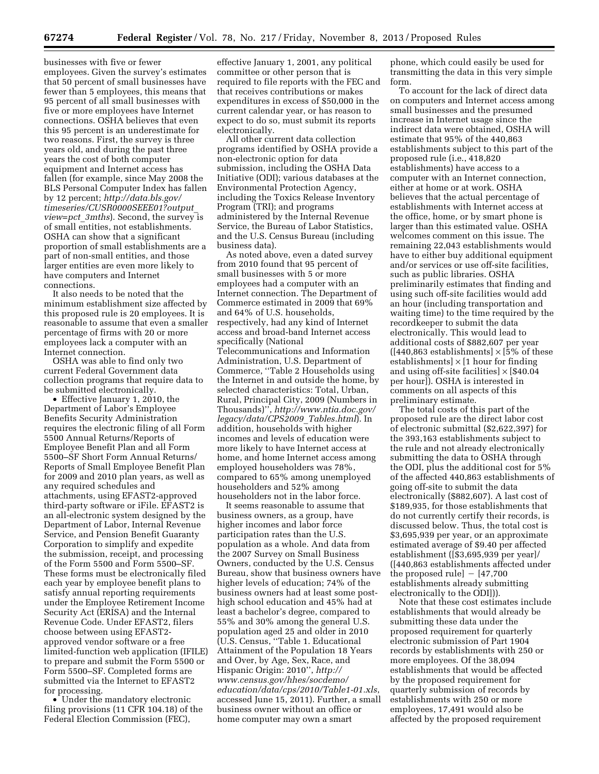businesses with five or fewer employees. Given the survey's estimates that 50 percent of small businesses have fewer than 5 employees, this means that 95 percent of all small businesses with five or more employees have Internet connections. OSHA believes that even this 95 percent is an underestimate for two reasons. First, the survey is three years old, and during the past three years the cost of both computer equipment and Internet access has fallen (for example, since May 2008 the BLS Personal Computer Index has fallen by 12 percent; *[http://data.bls.gov/](http://data.bls.gov/timeseries/CUSR0000SEEE01?output_view=pct_3mths) [timeseries/CUSR0000SEEE01?output](http://data.bls.gov/timeseries/CUSR0000SEEE01?output_view=pct_3mths)*\_ *[view=pct](http://data.bls.gov/timeseries/CUSR0000SEEE01?output_view=pct_3mths)*\_*3mths*). Second, the survey is of small entities, not establishments. OSHA can show that a significant proportion of small establishments are a part of non-small entities, and those larger entities are even more likely to have computers and Internet connections.

It also needs to be noted that the minimum establishment size affected by this proposed rule is 20 employees. It is reasonable to assume that even a smaller percentage of firms with 20 or more employees lack a computer with an Internet connection.

OSHA was able to find only two current Federal Government data collection programs that require data to be submitted electronically.

• Effective January 1, 2010, the Department of Labor's Employee Benefits Security Administration requires the electronic filing of all Form 5500 Annual Returns/Reports of Employee Benefit Plan and all Form 5500–SF Short Form Annual Returns/ Reports of Small Employee Benefit Plan for 2009 and 2010 plan years, as well as any required schedules and attachments, using EFAST2-approved third-party software or iFile. EFAST2 is an all-electronic system designed by the Department of Labor, Internal Revenue Service, and Pension Benefit Guaranty Corporation to simplify and expedite the submission, receipt, and processing of the Form 5500 and Form 5500–SF. These forms must be electronically filed each year by employee benefit plans to satisfy annual reporting requirements under the Employee Retirement Income Security Act (ERISA) and the Internal Revenue Code. Under EFAST2, filers choose between using EFAST2 approved vendor software or a free limited-function web application (IFILE) to prepare and submit the Form 5500 or Form 5500–SF. Completed forms are submitted via the Internet to EFAST2 for processing.

• Under the mandatory electronic filing provisions (11 CFR 104.18) of the Federal Election Commission (FEC),

effective January 1, 2001, any political committee or other person that is required to file reports with the FEC and that receives contributions or makes expenditures in excess of \$50,000 in the current calendar year, or has reason to expect to do so, must submit its reports electronically.

All other current data collection programs identified by OSHA provide a non-electronic option for data submission, including the OSHA Data Initiative (ODI); various databases at the Environmental Protection Agency, including the Toxics Release Inventory Program (TRI); and programs administered by the Internal Revenue Service, the Bureau of Labor Statistics, and the U.S. Census Bureau (including business data).

As noted above, even a dated survey from 2010 found that 95 percent of small businesses with 5 or more employees had a computer with an Internet connection. The Department of Commerce estimated in 2009 that 69% and 64% of U.S. households, respectively, had any kind of Internet access and broad-band Internet access specifically (National Telecommunications and Information Administration, U.S. Department of Commerce, ''Table 2 Households using the Internet in and outside the home, by selected characteristics: Total, Urban, Rural, Principal City, 2009 (Numbers in Thousands)'', *[http://www.ntia.doc.gov/](http://www.ntia.doc.gov/legacy/data/CPS2009_Tables.html) [legacy/data/CPS2009](http://www.ntia.doc.gov/legacy/data/CPS2009_Tables.html)*\_*Tables.html*). In addition, households with higher incomes and levels of education were more likely to have Internet access at home, and home Internet access among employed householders was 78%, compared to 65% among unemployed householders and 52% among householders not in the labor force.

It seems reasonable to assume that business owners, as a group, have higher incomes and labor force participation rates than the U.S. population as a whole. And data from the 2007 Survey on Small Business Owners, conducted by the U.S. Census Bureau, show that business owners have higher levels of education; 74% of the business owners had at least some posthigh school education and 45% had at least a bachelor's degree, compared to 55% and 30% among the general U.S. population aged 25 and older in 2010 (U.S. Census, ''Table 1. Educational Attainment of the Population 18 Years and Over, by Age, Sex, Race, and Hispanic Origin: 2010'', *[http://](http://www.census.gov/hhes/socdemo/education/data/cps/2010/Table1-01.xls) [www.census.gov/hhes/socdemo/](http://www.census.gov/hhes/socdemo/education/data/cps/2010/Table1-01.xls) [education/data/cps/2010/Table1-01.xls](http://www.census.gov/hhes/socdemo/education/data/cps/2010/Table1-01.xls)*, accessed June 15, 2011). Further, a small business owner without an office or home computer may own a smart

phone, which could easily be used for transmitting the data in this very simple form.

To account for the lack of direct data on computers and Internet access among small businesses and the presumed increase in Internet usage since the indirect data were obtained, OSHA will estimate that 95% of the 440,863 establishments subject to this part of the proposed rule (i.e., 418,820 establishments) have access to a computer with an Internet connection, either at home or at work. OSHA believes that the actual percentage of establishments with Internet access at the office, home, or by smart phone is larger than this estimated value. OSHA welcomes comment on this issue. The remaining 22,043 establishments would have to either buy additional equipment and/or services or use off-site facilities, such as public libraries. OSHA preliminarily estimates that finding and using such off-site facilities would add an hour (including transportation and waiting time) to the time required by the recordkeeper to submit the data electronically. This would lead to additional costs of \$882,607 per year  $([440, 863$  establishments]  $\times$  [5% of these establishments]  $\times$  [1 hour for finding and using off-site facilities]  $\times$  [\$40.04 per hour]). OSHA is interested in comments on all aspects of this preliminary estimate.

The total costs of this part of the proposed rule are the direct labor cost of electronic submittal (\$2,622,397) for the 393,163 establishments subject to the rule and not already electronically submitting the data to OSHA through the ODI, plus the additional cost for 5% of the affected 440,863 establishments of going off-site to submit the data electronically (\$882,607). A last cost of \$189,935, for those establishments that do not currently certify their records, is discussed below. Thus, the total cost is \$3,695,939 per year, or an approximate estimated average of \$9.40 per affected establishment ([\$3,695,939 per year]/ ([440,863 establishments affected under the proposed rule]  $-$  [47,700 establishments already submitting electronically to the ODI])).

Note that these cost estimates include establishments that would already be submitting these data under the proposed requirement for quarterly electronic submission of Part 1904 records by establishments with 250 or more employees. Of the 38,094 establishments that would be affected by the proposed requirement for quarterly submission of records by establishments with 250 or more employees, 17,491 would also be affected by the proposed requirement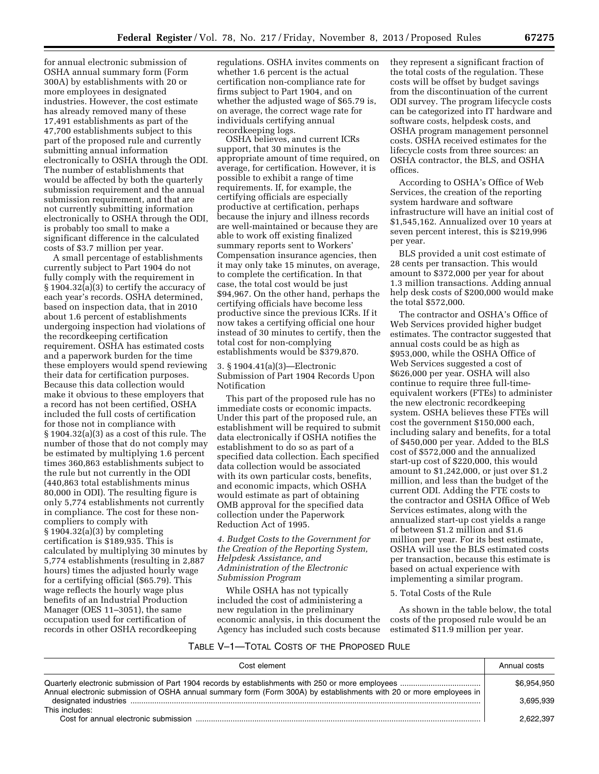for annual electronic submission of OSHA annual summary form (Form 300A) by establishments with 20 or more employees in designated industries. However, the cost estimate has already removed many of these 17,491 establishments as part of the 47,700 establishments subject to this part of the proposed rule and currently submitting annual information electronically to OSHA through the ODI. The number of establishments that would be affected by both the quarterly submission requirement and the annual submission requirement, and that are not currently submitting information electronically to OSHA through the ODI, is probably too small to make a significant difference in the calculated costs of \$3.7 million per year.

A small percentage of establishments currently subject to Part 1904 do not fully comply with the requirement in § 1904.32(a)(3) to certify the accuracy of each year's records. OSHA determined, based on inspection data, that in 2010 about 1.6 percent of establishments undergoing inspection had violations of the recordkeeping certification requirement. OSHA has estimated costs and a paperwork burden for the time these employers would spend reviewing their data for certification purposes. Because this data collection would make it obvious to these employers that a record has not been certified, OSHA included the full costs of certification for those not in compliance with § 1904.32(a)(3) as a cost of this rule. The number of those that do not comply may be estimated by multiplying 1.6 percent times 360,863 establishments subject to the rule but not currently in the ODI (440,863 total establishments minus 80,000 in ODI). The resulting figure is only 5,774 establishments not currently in compliance. The cost for these noncompliers to comply with § 1904.32(a)(3) by completing certification is \$189,935. This is calculated by multiplying 30 minutes by 5,774 establishments (resulting in 2,887 hours) times the adjusted hourly wage for a certifying official (\$65.79). This wage reflects the hourly wage plus benefits of an Industrial Production Manager (OES 11–3051), the same occupation used for certification of records in other OSHA recordkeeping

regulations. OSHA invites comments on whether 1.6 percent is the actual certification non-compliance rate for firms subject to Part 1904, and on whether the adjusted wage of \$65.79 is, on average, the correct wage rate for individuals certifying annual recordkeeping logs.

OSHA believes, and current ICRs support, that 30 minutes is the appropriate amount of time required, on average, for certification. However, it is possible to exhibit a range of time requirements. If, for example, the certifying officials are especially productive at certification, perhaps because the injury and illness records are well-maintained or because they are able to work off existing finalized summary reports sent to Workers' Compensation insurance agencies, then it may only take 15 minutes, on average, to complete the certification. In that case, the total cost would be just \$94,967. On the other hand, perhaps the certifying officials have become less productive since the previous ICRs. If it now takes a certifying official one hour instead of 30 minutes to certify, then the total cost for non-complying establishments would be \$379,870.

3. § 1904.41(a)(3)—Electronic Submission of Part 1904 Records Upon Notification

This part of the proposed rule has no immediate costs or economic impacts. Under this part of the proposed rule, an establishment will be required to submit data electronically if OSHA notifies the establishment to do so as part of a specified data collection. Each specified data collection would be associated with its own particular costs, benefits, and economic impacts, which OSHA would estimate as part of obtaining OMB approval for the specified data collection under the Paperwork Reduction Act of 1995.

*4. Budget Costs to the Government for the Creation of the Reporting System, Helpdesk Assistance, and Administration of the Electronic Submission Program* 

While OSHA has not typically included the cost of administering a new regulation in the preliminary economic analysis, in this document the Agency has included such costs because they represent a significant fraction of the total costs of the regulation. These costs will be offset by budget savings from the discontinuation of the current ODI survey. The program lifecycle costs can be categorized into IT hardware and software costs, helpdesk costs, and OSHA program management personnel costs. OSHA received estimates for the lifecycle costs from three sources: an OSHA contractor, the BLS, and OSHA offices.

According to OSHA's Office of Web Services, the creation of the reporting system hardware and software infrastructure will have an initial cost of \$1,545,162. Annualized over 10 years at seven percent interest, this is \$219,996 per year.

BLS provided a unit cost estimate of 28 cents per transaction. This would amount to \$372,000 per year for about 1.3 million transactions. Adding annual help desk costs of \$200,000 would make the total \$572,000.

The contractor and OSHA's Office of Web Services provided higher budget estimates. The contractor suggested that annual costs could be as high as \$953,000, while the OSHA Office of Web Services suggested a cost of \$626,000 per year. OSHA will also continue to require three full-timeequivalent workers (FTEs) to administer the new electronic recordkeeping system. OSHA believes these FTEs will cost the government \$150,000 each, including salary and benefits, for a total of \$450,000 per year. Added to the BLS cost of \$572,000 and the annualized start-up cost of \$220,000, this would amount to \$1,242,000, or just over \$1.2 million, and less than the budget of the current ODI. Adding the FTE costs to the contractor and OSHA Office of Web Services estimates, along with the annualized start-up cost yields a range of between \$1.2 million and \$1.6 million per year. For its best estimate, OSHA will use the BLS estimated costs per transaction, because this estimate is based on actual experience with implementing a similar program.

#### 5. Total Costs of the Rule

As shown in the table below, the total costs of the proposed rule would be an estimated \$11.9 million per year.

#### TABLE V–1—TOTAL COSTS OF THE PROPOSED RULE

| Cost element                                                                                                        | Annual costs |
|---------------------------------------------------------------------------------------------------------------------|--------------|
|                                                                                                                     | \$6.954.950  |
| Annual electronic submission of OSHA annual summary form (Form 300A) by establishments with 20 or more employees in | 3.695.939    |
| This includes:                                                                                                      |              |
|                                                                                                                     | 2.622.397    |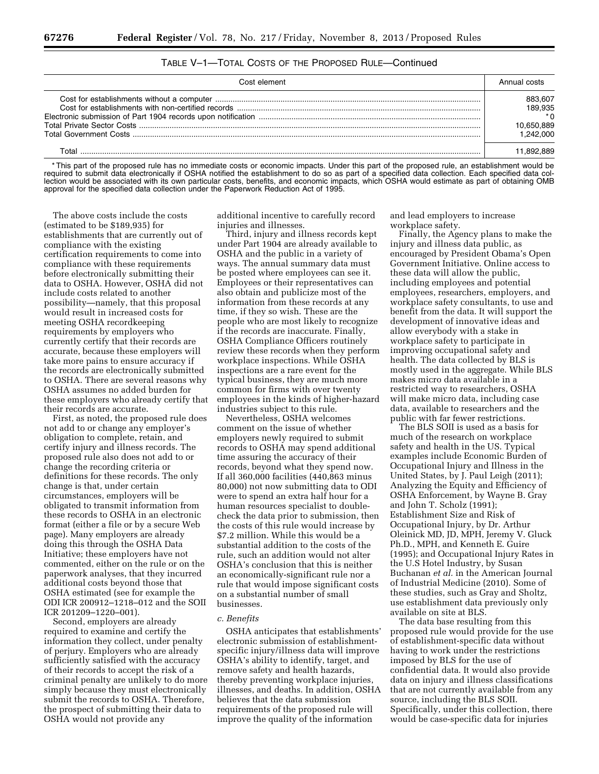#### TABLE V–1—TOTAL COSTS OF THE PROPOSED RULE—Continued

| Cost element | Annual costs |
|--------------|--------------|
|              | 883.607      |
|              | 189.935      |
|              |              |
|              | 10.650.889   |
|              | $-242.000$   |
|              |              |

\* This part of the proposed rule has no immediate costs or economic impacts. Under this part of the proposed rule, an establishment would be required to submit data electronically if OSHA notified the establishment to do so as part of a specified data collection. Each specified data collection would be associated with its own particular costs, benefits, and economic impacts, which OSHA would estimate as part of obtaining OMB approval for the specified data collection under the Paperwork Reduction Act of 1995.

The above costs include the costs (estimated to be \$189,935) for establishments that are currently out of compliance with the existing certification requirements to come into compliance with these requirements before electronically submitting their data to OSHA. However, OSHA did not include costs related to another possibility—namely, that this proposal would result in increased costs for meeting OSHA recordkeeping requirements by employers who currently certify that their records are accurate, because these employers will take more pains to ensure accuracy if the records are electronically submitted to OSHA. There are several reasons why OSHA assumes no added burden for these employers who already certify that their records are accurate.

First, as noted, the proposed rule does not add to or change any employer's obligation to complete, retain, and certify injury and illness records. The proposed rule also does not add to or change the recording criteria or definitions for these records. The only change is that, under certain circumstances, employers will be obligated to transmit information from these records to OSHA in an electronic format (either a file or by a secure Web page). Many employers are already doing this through the OSHA Data Initiative; these employers have not commented, either on the rule or on the paperwork analyses, that they incurred additional costs beyond those that OSHA estimated (see for example the ODI ICR 200912–1218–012 and the SOII ICR 201209–1220–001).

Second, employers are already required to examine and certify the information they collect, under penalty of perjury. Employers who are already sufficiently satisfied with the accuracy of their records to accept the risk of a criminal penalty are unlikely to do more simply because they must electronically submit the records to OSHA. Therefore, the prospect of submitting their data to OSHA would not provide any

additional incentive to carefully record injuries and illnesses.

Third, injury and illness records kept under Part 1904 are already available to OSHA and the public in a variety of ways. The annual summary data must be posted where employees can see it. Employees or their representatives can also obtain and publicize most of the information from these records at any time, if they so wish. These are the people who are most likely to recognize if the records are inaccurate. Finally, OSHA Compliance Officers routinely review these records when they perform workplace inspections. While OSHA inspections are a rare event for the typical business, they are much more common for firms with over twenty employees in the kinds of higher-hazard industries subject to this rule.

Nevertheless, OSHA welcomes comment on the issue of whether employers newly required to submit records to OSHA may spend additional time assuring the accuracy of their records, beyond what they spend now. If all 360,000 facilities (440,863 minus 80,000) not now submitting data to ODI were to spend an extra half hour for a human resources specialist to doublecheck the data prior to submission, then the costs of this rule would increase by \$7.2 million. While this would be a substantial addition to the costs of the rule, such an addition would not alter OSHA's conclusion that this is neither an economically-significant rule nor a rule that would impose significant costs on a substantial number of small businesses.

#### *c. Benefits*

OSHA anticipates that establishments' electronic submission of establishmentspecific injury/illness data will improve OSHA's ability to identify, target, and remove safety and health hazards, thereby preventing workplace injuries, illnesses, and deaths. In addition, OSHA believes that the data submission requirements of the proposed rule will improve the quality of the information

and lead employers to increase workplace safety.

Finally, the Agency plans to make the injury and illness data public, as encouraged by President Obama's Open Government Initiative. Online access to these data will allow the public, including employees and potential employees, researchers, employers, and workplace safety consultants, to use and benefit from the data. It will support the development of innovative ideas and allow everybody with a stake in workplace safety to participate in improving occupational safety and health. The data collected by BLS is mostly used in the aggregate. While BLS makes micro data available in a restricted way to researchers, OSHA will make micro data, including case data, available to researchers and the public with far fewer restrictions.

The BLS SOII is used as a basis for much of the research on workplace safety and health in the US. Typical examples include Economic Burden of Occupational Injury and Illness in the United States, by J. Paul Leigh (2011); Analyzing the Equity and Efficiency of OSHA Enforcement, by Wayne B. Gray and John T. Scholz (1991); Establishment Size and Risk of Occupational Injury, by Dr. Arthur Oleinick MD, JD, MPH, Jeremy V. Gluck Ph.D., MPH, and Kenneth E. Guire (1995); and Occupational Injury Rates in the U.S Hotel Industry, by Susan Buchanan *et al.* in the American Journal of Industrial Medicine (2010). Some of these studies, such as Gray and Sholtz, use establishment data previously only available on site at BLS.

The data base resulting from this proposed rule would provide for the use of establishment-specific data without having to work under the restrictions imposed by BLS for the use of confidential data. It would also provide data on injury and illness classifications that are not currently available from any source, including the BLS SOII. Specifically, under this collection, there would be case-specific data for injuries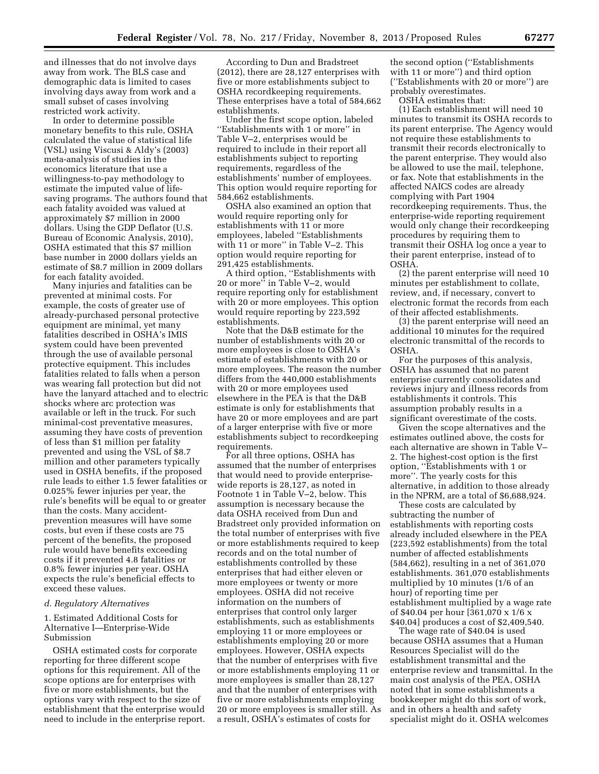and illnesses that do not involve days away from work. The BLS case and demographic data is limited to cases involving days away from work and a small subset of cases involving restricted work activity.

In order to determine possible monetary benefits to this rule, OSHA calculated the value of statistical life (VSL) using Viscusi & Aldy's (2003) meta-analysis of studies in the economics literature that use a willingness-to-pay methodology to estimate the imputed value of lifesaving programs. The authors found that each fatality avoided was valued at approximately \$7 million in 2000 dollars. Using the GDP Deflator (U.S. Bureau of Economic Analysis, 2010), OSHA estimated that this \$7 million base number in 2000 dollars yields an estimate of \$8.7 million in 2009 dollars for each fatality avoided.

Many injuries and fatalities can be prevented at minimal costs. For example, the costs of greater use of already-purchased personal protective equipment are minimal, yet many fatalities described in OSHA's IMIS system could have been prevented through the use of available personal protective equipment. This includes fatalities related to falls when a person was wearing fall protection but did not have the lanyard attached and to electric shocks where arc protection was available or left in the truck. For such minimal-cost preventative measures, assuming they have costs of prevention of less than \$1 million per fatality prevented and using the VSL of \$8.7 million and other parameters typically used in OSHA benefits, if the proposed rule leads to either 1.5 fewer fatalities or 0.025% fewer injuries per year, the rule's benefits will be equal to or greater than the costs. Many accidentprevention measures will have some costs, but even if these costs are 75 percent of the benefits, the proposed rule would have benefits exceeding costs if it prevented 4.8 fatalities or 0.8% fewer injuries per year. OSHA expects the rule's beneficial effects to exceed these values.

#### *d. Regulatory Alternatives*

1. Estimated Additional Costs for Alternative I—Enterprise-Wide Submission

OSHA estimated costs for corporate reporting for three different scope options for this requirement. All of the scope options are for enterprises with five or more establishments, but the options vary with respect to the size of establishment that the enterprise would need to include in the enterprise report.

According to Dun and Bradstreet (2012), there are 28,127 enterprises with five or more establishments subject to OSHA recordkeeping requirements. These enterprises have a total of 584,662 establishments.

Under the first scope option, labeled ''Establishments with 1 or more'' in Table V–2, enterprises would be required to include in their report all establishments subject to reporting requirements, regardless of the establishments' number of employees. This option would require reporting for 584,662 establishments.

OSHA also examined an option that would require reporting only for establishments with 11 or more employees, labeled ''Establishments with 11 or more'' in Table V–2. This option would require reporting for 291,425 establishments.

A third option, ''Establishments with 20 or more'' in Table V–2, would require reporting only for establishment with 20 or more employees. This option would require reporting by 223,592 establishments.

Note that the D&B estimate for the number of establishments with 20 or more employees is close to OSHA's estimate of establishments with 20 or more employees. The reason the number differs from the 440,000 establishments with 20 or more employees used elsewhere in the PEA is that the D&B estimate is only for establishments that have 20 or more employees and are part of a larger enterprise with five or more establishments subject to recordkeeping requirements.

For all three options, OSHA has assumed that the number of enterprises that would need to provide enterprisewide reports is 28,127, as noted in Footnote 1 in Table V–2, below. This assumption is necessary because the data OSHA received from Dun and Bradstreet only provided information on the total number of enterprises with five or more establishments required to keep records and on the total number of establishments controlled by these enterprises that had either eleven or more employees or twenty or more employees. OSHA did not receive information on the numbers of enterprises that control only larger establishments, such as establishments employing 11 or more employees or establishments employing 20 or more employees. However, OSHA expects that the number of enterprises with five or more establishments employing 11 or more employees is smaller than 28,127 and that the number of enterprises with five or more establishments employing 20 or more employees is smaller still. As a result, OSHA's estimates of costs for

the second option (''Establishments with 11 or more'') and third option (''Establishments with 20 or more'') are probably overestimates.

OSHA estimates that:

(1) Each establishment will need 10 minutes to transmit its OSHA records to its parent enterprise. The Agency would not require these establishments to transmit their records electronically to the parent enterprise. They would also be allowed to use the mail, telephone, or fax. Note that establishments in the affected NAICS codes are already complying with Part 1904 recordkeeping requirements. Thus, the enterprise-wide reporting requirement would only change their recordkeeping procedures by requiring them to transmit their OSHA log once a year to their parent enterprise, instead of to OSHA.

(2) the parent enterprise will need 10 minutes per establishment to collate, review, and, if necessary, convert to electronic format the records from each of their affected establishments.

(3) the parent enterprise will need an additional 10 minutes for the required electronic transmittal of the records to OSHA.

For the purposes of this analysis, OSHA has assumed that no parent enterprise currently consolidates and reviews injury and illness records from establishments it controls. This assumption probably results in a significant overestimate of the costs.

Given the scope alternatives and the estimates outlined above, the costs for each alternative are shown in Table V– 2. The highest-cost option is the first option, ''Establishments with 1 or more''. The yearly costs for this alternative, in addition to those already in the NPRM, are a total of \$6,688,924.

These costs are calculated by subtracting the number of establishments with reporting costs already included elsewhere in the PEA (223,592 establishments) from the total number of affected establishments (584,662), resulting in a net of 361,070 establishments. 361,070 establishments multiplied by 10 minutes (1/6 of an hour) of reporting time per establishment multiplied by a wage rate of \$40.04 per hour [361,070 x 1/6 x \$40.04] produces a cost of \$2,409,540.

The wage rate of \$40.04 is used because OSHA assumes that a Human Resources Specialist will do the establishment transmittal and the enterprise review and transmittal. In the main cost analysis of the PEA, OSHA noted that in some establishments a bookkeeper might do this sort of work, and in others a health and safety specialist might do it. OSHA welcomes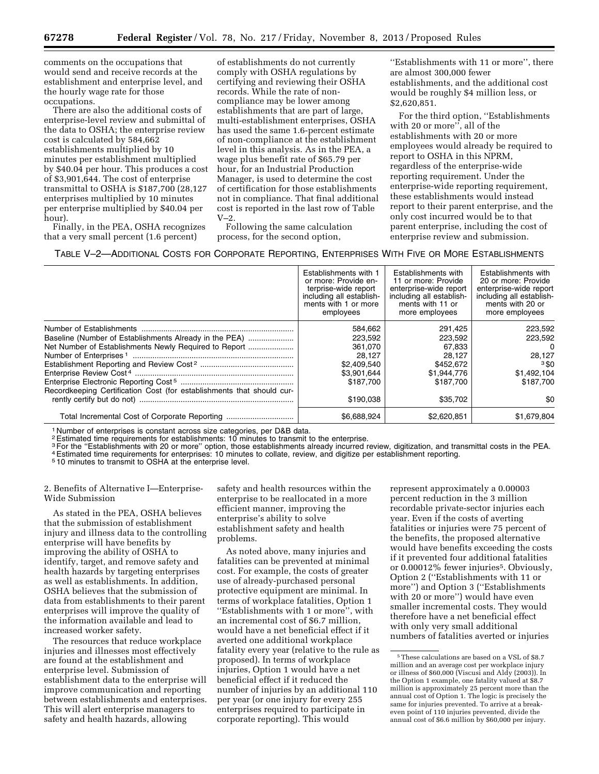comments on the occupations that would send and receive records at the establishment and enterprise level, and the hourly wage rate for those occupations.

There are also the additional costs of enterprise-level review and submittal of the data to OSHA; the enterprise review cost is calculated by 584,662 establishments multiplied by 10 minutes per establishment multiplied by \$40.04 per hour. This produces a cost of \$3,901,644. The cost of enterprise transmittal to OSHA is \$187,700 (28,127 enterprises multiplied by 10 minutes per enterprise multiplied by \$40.04 per hour).

Finally, in the PEA, OSHA recognizes that a very small percent (1.6 percent)

of establishments do not currently comply with OSHA regulations by certifying and reviewing their OSHA records. While the rate of noncompliance may be lower among establishments that are part of large, multi-establishment enterprises, OSHA has used the same 1.6-percent estimate of non-compliance at the establishment level in this analysis. As in the PEA, a wage plus benefit rate of \$65.79 per hour, for an Industrial Production Manager, is used to determine the cost of certification for those establishments not in compliance. That final additional cost is reported in the last row of Table V–2.

Following the same calculation process, for the second option,

''Establishments with 11 or more'', there are almost 300,000 fewer establishments, and the additional cost would be roughly \$4 million less, or \$2,620,851.

For the third option, ''Establishments with 20 or more'', all of the establishments with 20 or more employees would already be required to report to OSHA in this NPRM, regardless of the enterprise-wide reporting requirement. Under the enterprise-wide reporting requirement, these establishments would instead report to their parent enterprise, and the only cost incurred would be to that parent enterprise, including the cost of enterprise review and submission.

TABLE V–2—ADDITIONAL COSTS FOR CORPORATE REPORTING, ENTERPRISES WITH FIVE OR MORE ESTABLISHMENTS

|                                                                                                                                                                                          | Establishments with 1<br>or more: Provide en-<br>terprise-wide report<br>including all establish-<br>ments with 1 or more<br>employees | Establishments with<br>11 or more: Provide<br>enterprise-wide report<br>including all establish-<br>ments with 11 or<br>more employees | Establishments with<br>20 or more: Provide<br>enterprise-wide report<br>including all establish-<br>ments with 20 or<br>more employees |
|------------------------------------------------------------------------------------------------------------------------------------------------------------------------------------------|----------------------------------------------------------------------------------------------------------------------------------------|----------------------------------------------------------------------------------------------------------------------------------------|----------------------------------------------------------------------------------------------------------------------------------------|
| Baseline (Number of Establishments Already in the PEA)<br>Net Number of Establishments Newly Required to Report<br>Recordkeeping Certification Cost (for establishments that should cur- | 584,662<br>223,592<br>361.070<br>28.127<br>\$2,409,540<br>\$3,901,644<br>\$187.700<br>\$190,038                                        | 291,425<br>223,592<br>67,833<br>28.127<br>\$452,672<br>\$1,944,776<br>\$187.700<br>\$35,702                                            | 223,592<br>223,592<br>$\Omega$<br>28.127<br>$3S$ 0<br>\$1,492,104<br>\$187.700<br>80                                                   |
| Total Incremental Cost of Corporate Reporting                                                                                                                                            | \$6,688,924                                                                                                                            | \$2,620,851                                                                                                                            | \$1,679,804                                                                                                                            |

1 Number of enterprises is constant across size categories, per D&B data.

2Estimated time requirements for establishments: 10 minutes to transmit to the enterprise.

3For the ''Establishments with 20 or more'' option, those establishments already incurred review, digitization, and transmittal costs in the PEA. 4Estimated time requirements for enterprises: 10 minutes to collate, review, and digitize per establishment reporting.

5 10 minutes to transmit to OSHA at the enterprise level.

2. Benefits of Alternative I—Enterprise-Wide Submission

As stated in the PEA, OSHA believes that the submission of establishment injury and illness data to the controlling enterprise will have benefits by improving the ability of OSHA to identify, target, and remove safety and health hazards by targeting enterprises as well as establishments. In addition, OSHA believes that the submission of data from establishments to their parent enterprises will improve the quality of the information available and lead to increased worker safety.

The resources that reduce workplace injuries and illnesses most effectively are found at the establishment and enterprise level. Submission of establishment data to the enterprise will improve communication and reporting between establishments and enterprises. This will alert enterprise managers to safety and health hazards, allowing

safety and health resources within the enterprise to be reallocated in a more efficient manner, improving the enterprise's ability to solve establishment safety and health problems.

As noted above, many injuries and fatalities can be prevented at minimal cost. For example, the costs of greater use of already-purchased personal protective equipment are minimal. In terms of workplace fatalities, Option 1 ''Establishments with 1 or more'', with an incremental cost of \$6.7 million, would have a net beneficial effect if it averted one additional workplace fatality every year (relative to the rule as proposed). In terms of workplace injuries, Option 1 would have a net beneficial effect if it reduced the number of injuries by an additional 110 per year (or one injury for every 255 enterprises required to participate in corporate reporting). This would

represent approximately a 0.00003 percent reduction in the 3 million recordable private-sector injuries each year. Even if the costs of averting fatalities or injuries were 75 percent of the benefits, the proposed alternative would have benefits exceeding the costs if it prevented four additional fatalities or 0.00012% fewer injuries5. Obviously, Option 2 (''Establishments with 11 or more'') and Option 3 (''Establishments with 20 or more'') would have even smaller incremental costs. They would therefore have a net beneficial effect with only very small additional numbers of fatalities averted or injuries

<sup>5</sup>These calculations are based on a VSL of \$8.7 million and an average cost per workplace injury or illness of \$60,000 (Viscusi and Aldy (2003)). In the Option 1 example, one fatality valued at \$8.7 million is approximately 25 percent more than the annual cost of Option 1. The logic is precisely the same for injuries prevented. To arrive at a breakeven point of 110 injuries prevented, divide the annual cost of \$6.6 million by \$60,000 per injury.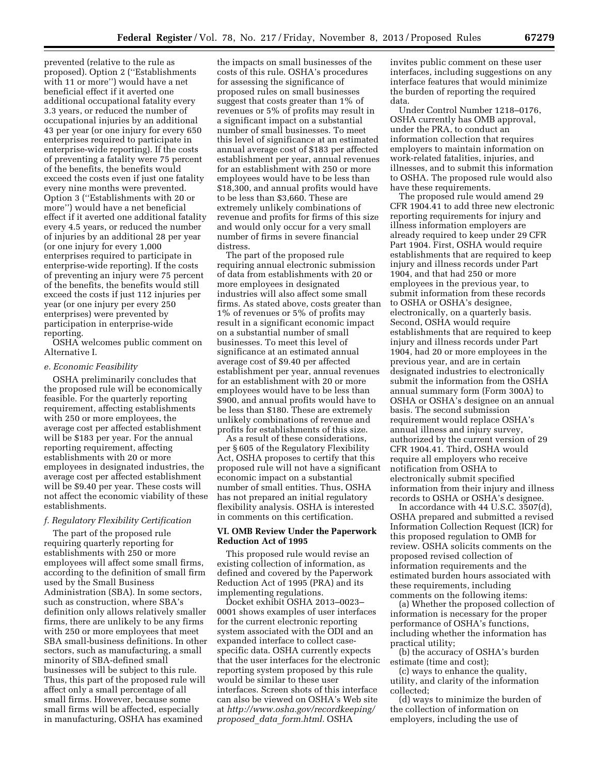prevented (relative to the rule as proposed). Option 2 (''Establishments with 11 or more'') would have a net beneficial effect if it averted one additional occupational fatality every 3.3 years, or reduced the number of occupational injuries by an additional 43 per year (or one injury for every 650 enterprises required to participate in enterprise-wide reporting). If the costs of preventing a fatality were 75 percent of the benefits, the benefits would exceed the costs even if just one fatality every nine months were prevented. Option 3 (''Establishments with 20 or more'') would have a net beneficial effect if it averted one additional fatality every 4.5 years, or reduced the number of injuries by an additional 28 per year (or one injury for every 1,000 enterprises required to participate in enterprise-wide reporting). If the costs of preventing an injury were 75 percent of the benefits, the benefits would still exceed the costs if just 112 injuries per year (or one injury per every 250 enterprises) were prevented by participation in enterprise-wide reporting.

OSHA welcomes public comment on Alternative I.

#### *e. Economic Feasibility*

OSHA preliminarily concludes that the proposed rule will be economically feasible. For the quarterly reporting requirement, affecting establishments with 250 or more employees, the average cost per affected establishment will be \$183 per year. For the annual reporting requirement, affecting establishments with 20 or more employees in designated industries, the average cost per affected establishment will be \$9.40 per year. These costs will not affect the economic viability of these establishments.

#### *f. Regulatory Flexibility Certification*

The part of the proposed rule requiring quarterly reporting for establishments with 250 or more employees will affect some small firms, according to the definition of small firm used by the Small Business Administration (SBA). In some sectors, such as construction, where SBA's definition only allows relatively smaller firms, there are unlikely to be any firms with 250 or more employees that meet SBA small-business definitions. In other sectors, such as manufacturing, a small minority of SBA-defined small businesses will be subject to this rule. Thus, this part of the proposed rule will affect only a small percentage of all small firms. However, because some small firms will be affected, especially in manufacturing, OSHA has examined

the impacts on small businesses of the costs of this rule. OSHA's procedures for assessing the significance of proposed rules on small businesses suggest that costs greater than 1% of revenues or 5% of profits may result in a significant impact on a substantial number of small businesses. To meet this level of significance at an estimated annual average cost of \$183 per affected establishment per year, annual revenues for an establishment with 250 or more employees would have to be less than \$18,300, and annual profits would have to be less than \$3,660. These are extremely unlikely combinations of revenue and profits for firms of this size and would only occur for a very small number of firms in severe financial distress.

The part of the proposed rule requiring annual electronic submission of data from establishments with 20 or more employees in designated industries will also affect some small firms. As stated above, costs greater than 1% of revenues or 5% of profits may result in a significant economic impact on a substantial number of small businesses. To meet this level of significance at an estimated annual average cost of \$9.40 per affected establishment per year, annual revenues for an establishment with 20 or more employees would have to be less than \$900, and annual profits would have to be less than \$180. These are extremely unlikely combinations of revenue and profits for establishments of this size.

As a result of these considerations, per § 605 of the Regulatory Flexibility Act, OSHA proposes to certify that this proposed rule will not have a significant economic impact on a substantial number of small entities. Thus, OSHA has not prepared an initial regulatory flexibility analysis. OSHA is interested in comments on this certification.

#### **VI. OMB Review Under the Paperwork Reduction Act of 1995**

This proposed rule would revise an existing collection of information, as defined and covered by the Paperwork Reduction Act of 1995 (PRA) and its implementing regulations.

Docket exhibit OSHA 2013–0023– 0001 shows examples of user interfaces for the current electronic reporting system associated with the ODI and an expanded interface to collect casespecific data. OSHA currently expects that the user interfaces for the electronic reporting system proposed by this rule would be similar to these user interfaces. Screen shots of this interface can also be viewed on OSHA's Web site at *[http://www.osha.gov/recordkeeping/](http://www.osha.gov/recordkeeping/proposed_data_form.html) proposed*\_*data*\_*[form.html.](http://www.osha.gov/recordkeeping/proposed_data_form.html)* OSHA

invites public comment on these user interfaces, including suggestions on any interface features that would minimize the burden of reporting the required data.

Under Control Number 1218–0176, OSHA currently has OMB approval, under the PRA, to conduct an information collection that requires employers to maintain information on work-related fatalities, injuries, and illnesses, and to submit this information to OSHA. The proposed rule would also have these requirements.

The proposed rule would amend 29 CFR 1904.41 to add three new electronic reporting requirements for injury and illness information employers are already required to keep under 29 CFR Part 1904. First, OSHA would require establishments that are required to keep injury and illness records under Part 1904, and that had 250 or more employees in the previous year, to submit information from these records to OSHA or OSHA's designee, electronically, on a quarterly basis. Second, OSHA would require establishments that are required to keep injury and illness records under Part 1904, had 20 or more employees in the previous year, and are in certain designated industries to electronically submit the information from the OSHA annual summary form (Form 300A) to OSHA or OSHA's designee on an annual basis. The second submission requirement would replace OSHA's annual illness and injury survey, authorized by the current version of 29 CFR 1904.41. Third, OSHA would require all employers who receive notification from OSHA to electronically submit specified information from their injury and illness records to OSHA or OSHA's designee.

In accordance with 44 U.S.C. 3507(d), OSHA prepared and submitted a revised Information Collection Request (ICR) for this proposed regulation to OMB for review. OSHA solicits comments on the proposed revised collection of information requirements and the estimated burden hours associated with these requirements, including comments on the following items:

(a) Whether the proposed collection of information is necessary for the proper performance of OSHA's functions, including whether the information has practical utility;

(b) the accuracy of OSHA's burden estimate (time and cost);

(c) ways to enhance the quality, utility, and clarity of the information collected;

(d) ways to minimize the burden of the collection of information on employers, including the use of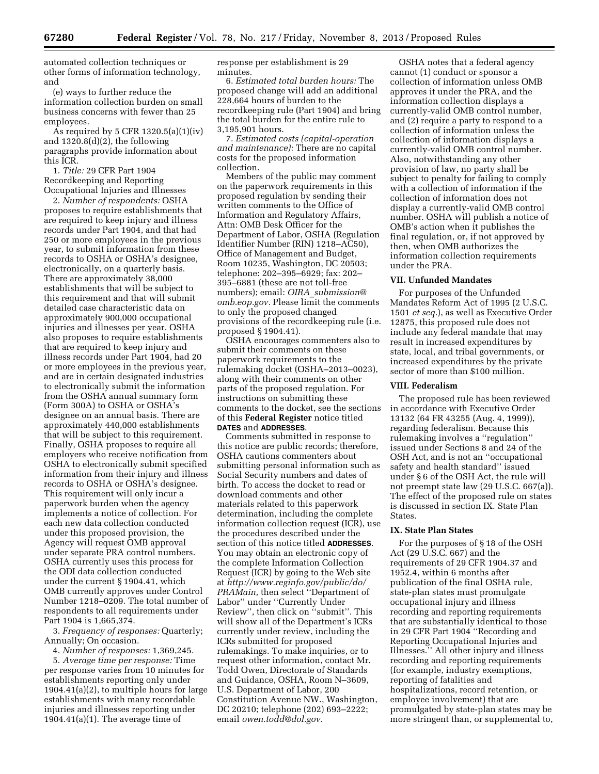automated collection techniques or other forms of information technology, and

(e) ways to further reduce the information collection burden on small business concerns with fewer than 25 employees.

As required by 5 CFR 1320.5(a)(1)(iv) and  $1320.8(d)(2)$ , the following paragraphs provide information about this ICR.

1. *Title:* 29 CFR Part 1904 Recordkeeping and Reporting Occupational Injuries and Illnesses

2. *Number of respondents:* OSHA proposes to require establishments that are required to keep injury and illness records under Part 1904, and that had 250 or more employees in the previous year, to submit information from these records to OSHA or OSHA's designee, electronically, on a quarterly basis. There are approximately 38,000 establishments that will be subject to this requirement and that will submit detailed case characteristic data on approximately 900,000 occupational injuries and illnesses per year. OSHA also proposes to require establishments that are required to keep injury and illness records under Part 1904, had 20 or more employees in the previous year, and are in certain designated industries to electronically submit the information from the OSHA annual summary form (Form 300A) to OSHA or OSHA's designee on an annual basis. There are approximately 440,000 establishments that will be subject to this requirement. Finally, OSHA proposes to require all employers who receive notification from OSHA to electronically submit specified information from their injury and illness records to OSHA or OSHA's designee. This requirement will only incur a paperwork burden when the agency implements a notice of collection. For each new data collection conducted under this proposed provision, the Agency will request OMB approval under separate PRA control numbers. OSHA currently uses this process for the ODI data collection conducted under the current § 1904.41, which OMB currently approves under Control Number 1218–0209. The total number of respondents to all requirements under Part 1904 is 1,665,374.

3. *Frequency of responses:* Quarterly; Annually; On occasion.

4. *Number of responses:* 1,369,245.

5. *Average time per response:* Time per response varies from 10 minutes for establishments reporting only under 1904.41(a)(2), to multiple hours for large establishments with many recordable injuries and illnesses reporting under 1904.41(a)(1). The average time of

response per establishment is 29 minutes.

6. *Estimated total burden hours:* The proposed change will add an additional 228,664 hours of burden to the recordkeeping rule (Part 1904) and bring the total burden for the entire rule to 3,195,901 hours.

7. *Estimated costs (capital-operation and maintenance):* There are no capital costs for the proposed information collection.

Members of the public may comment on the paperwork requirements in this proposed regulation by sending their written comments to the Office of Information and Regulatory Affairs, Attn: OMB Desk Officer for the Department of Labor, OSHA (Regulation Identifier Number (RIN) 1218–AC50), Office of Management and Budget, Room 10235, Washington, DC 20503; telephone: 202–395–6929; fax: 202– 395–6881 (these are not toll-free numbers); email: *OIRA*\_*[submission@](mailto:OIRA_submission@omb.eop.gov) [omb.eop.gov.](mailto:OIRA_submission@omb.eop.gov)* Please limit the comments to only the proposed changed provisions of the recordkeeping rule (i.e. proposed § 1904.41).

OSHA encourages commenters also to submit their comments on these paperwork requirements to the rulemaking docket (OSHA–2013–0023), along with their comments on other parts of the proposed regulation. For instructions on submitting these comments to the docket, see the sections of this **Federal Register** notice titled **DATES** and **ADDRESSES**.

Comments submitted in response to this notice are public records; therefore, OSHA cautions commenters about submitting personal information such as Social Security numbers and dates of birth. To access the docket to read or download comments and other materials related to this paperwork determination, including the complete information collection request (ICR), use the procedures described under the section of this notice titled **ADDRESSES**. You may obtain an electronic copy of the complete Information Collection Request (ICR) by going to the Web site at *[http://www.reginfo.gov/public/do/](http://www.reginfo.gov/public/do/PRAMain) [PRAMain,](http://www.reginfo.gov/public/do/PRAMain)* then select ''Department of Labor" under "Currently Under Review'', then click on ''submit''. This will show all of the Department's ICRs currently under review, including the ICRs submitted for proposed rulemakings. To make inquiries, or to request other information, contact Mr. Todd Owen, Directorate of Standards and Guidance, OSHA, Room N–3609, U.S. Department of Labor, 200 Constitution Avenue NW., Washington, DC 20210; telephone (202) 693–2222; email *[owen.todd@dol.gov.](mailto:owen.todd@dol.gov)* 

OSHA notes that a federal agency cannot (1) conduct or sponsor a collection of information unless OMB approves it under the PRA, and the information collection displays a currently-valid OMB control number, and (2) require a party to respond to a collection of information unless the collection of information displays a currently-valid OMB control number. Also, notwithstanding any other provision of law, no party shall be subject to penalty for failing to comply with a collection of information if the collection of information does not display a currently-valid OMB control number. OSHA will publish a notice of OMB's action when it publishes the final regulation, or, if not approved by then, when OMB authorizes the information collection requirements under the PRA.

#### **VII. Unfunded Mandates**

For purposes of the Unfunded Mandates Reform Act of 1995 (2 U.S.C. 1501 *et seq.*), as well as Executive Order 12875, this proposed rule does not include any federal mandate that may result in increased expenditures by state, local, and tribal governments, or increased expenditures by the private sector of more than \$100 million.

#### **VIII. Federalism**

The proposed rule has been reviewed in accordance with Executive Order 13132 (64 FR 43255 (Aug. 4, 1999)), regarding federalism. Because this rulemaking involves a ''regulation'' issued under Sections 8 and 24 of the OSH Act, and is not an ''occupational safety and health standard'' issued under § 6 of the OSH Act, the rule will not preempt state law (29 U.S.C. 667(a)). The effect of the proposed rule on states is discussed in section IX. State Plan States.

## **IX. State Plan States**

For the purposes of § 18 of the OSH Act (29 U.S.C. 667) and the requirements of 29 CFR 1904.37 and 1952.4, within 6 months after publication of the final OSHA rule, state-plan states must promulgate occupational injury and illness recording and reporting requirements that are substantially identical to those in 29 CFR Part 1904 ''Recording and Reporting Occupational Injuries and Illnesses.'' All other injury and illness recording and reporting requirements (for example, industry exemptions, reporting of fatalities and hospitalizations, record retention, or employee involvement) that are promulgated by state-plan states may be more stringent than, or supplemental to,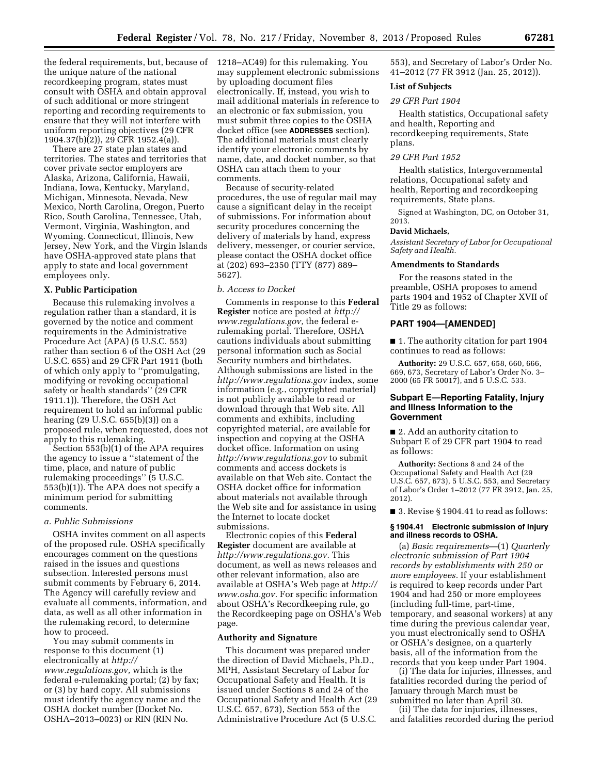the federal requirements, but, because of 1218–AC49) for this rulemaking. You the unique nature of the national recordkeeping program, states must consult with OSHA and obtain approval of such additional or more stringent reporting and recording requirements to ensure that they will not interfere with uniform reporting objectives (29 CFR 1904.37(b)(2)), 29 CFR 1952.4(a)).

There are 27 state plan states and territories. The states and territories that cover private sector employers are Alaska, Arizona, California, Hawaii, Indiana, Iowa, Kentucky, Maryland, Michigan, Minnesota, Nevada, New Mexico, North Carolina, Oregon, Puerto Rico, South Carolina, Tennessee, Utah, Vermont, Virginia, Washington, and Wyoming. Connecticut, Illinois, New Jersey, New York, and the Virgin Islands have OSHA-approved state plans that apply to state and local government employees only.

#### **X. Public Participation**

Because this rulemaking involves a regulation rather than a standard, it is governed by the notice and comment requirements in the Administrative Procedure Act (APA) (5 U.S.C. 553) rather than section 6 of the OSH Act (29 U.S.C. 655) and 29 CFR Part 1911 (both of which only apply to ''promulgating, modifying or revoking occupational safety or health standards'' (29 CFR 1911.1)). Therefore, the OSH Act requirement to hold an informal public hearing (29 U.S.C. 655(b)(3)) on a proposed rule, when requested, does not apply to this rulemaking.

Section 553(b)(1) of the APA requires the agency to issue a ''statement of the time, place, and nature of public rulemaking proceedings'' (5 U.S.C. 553(b)(1)). The APA does not specify a minimum period for submitting comments.

#### *a. Public Submissions*

OSHA invites comment on all aspects of the proposed rule. OSHA specifically encourages comment on the questions raised in the issues and questions subsection. Interested persons must submit comments by February 6, 2014. The Agency will carefully review and evaluate all comments, information, and data, as well as all other information in the rulemaking record, to determine how to proceed.

You may submit comments in response to this document (1) electronically at *[http://](http://www.regulations.gov) [www.regulations.gov,](http://www.regulations.gov)* which is the federal e-rulemaking portal; (2) by fax; or (3) by hard copy. All submissions must identify the agency name and the OSHA docket number (Docket No. OSHA–2013–0023) or RIN (RIN No.

may supplement electronic submissions by uploading document files electronically. If, instead, you wish to mail additional materials in reference to an electronic or fax submission, you must submit three copies to the OSHA docket office (see **ADDRESSES** section). The additional materials must clearly identify your electronic comments by name, date, and docket number, so that OSHA can attach them to your comments.

Because of security-related procedures, the use of regular mail may cause a significant delay in the receipt of submissions. For information about security procedures concerning the delivery of materials by hand, express delivery, messenger, or courier service, please contact the OSHA docket office at (202) 693–2350 (TTY (877) 889– 5627).

#### *b. Access to Docket*

Comments in response to this **Federal Register** notice are posted at *[http://](http://www.regulations.gov) [www.regulations.gov,](http://www.regulations.gov)* the federal erulemaking portal. Therefore, OSHA cautions individuals about submitting personal information such as Social Security numbers and birthdates. Although submissions are listed in the *<http://www.regulations.gov>* index, some information (e.g., copyrighted material) is not publicly available to read or download through that Web site. All comments and exhibits, including copyrighted material, are available for inspection and copying at the OSHA docket office. Information on using *<http://www.regulations.gov>* to submit comments and access dockets is available on that Web site. Contact the OSHA docket office for information about materials not available through the Web site and for assistance in using the Internet to locate docket submissions.

Electronic copies of this **Federal Register** document are available at *[http://www.regulations.gov.](http://www.regulations.gov)* This document, as well as news releases and other relevant information, also are available at OSHA's Web page at *[http://](http://www.osha.gov)  [www.osha.gov.](http://www.osha.gov)* For specific information about OSHA's Recordkeeping rule, go the Recordkeeping page on OSHA's Web page.

#### **Authority and Signature**

This document was prepared under the direction of David Michaels, Ph.D., MPH, Assistant Secretary of Labor for Occupational Safety and Health. It is issued under Sections 8 and 24 of the Occupational Safety and Health Act (29 U.S.C. 657, 673), Section 553 of the Administrative Procedure Act (5 U.S.C.

553), and Secretary of Labor's Order No. 41–2012 (77 FR 3912 (Jan. 25, 2012)).

#### **List of Subjects**

#### *29 CFR Part 1904*

Health statistics, Occupational safety and health, Reporting and recordkeeping requirements, State plans.

#### *29 CFR Part 1952*

Health statistics, Intergovernmental relations, Occupational safety and health, Reporting and recordkeeping requirements, State plans.

Signed at Washington, DC, on October 31, 2013.

#### **David Michaels,**

*Assistant Secretary of Labor for Occupational Safety and Health.* 

#### **Amendments to Standards**

For the reasons stated in the preamble, OSHA proposes to amend parts 1904 and 1952 of Chapter XVII of Title 29 as follows:

#### **PART 1904—[AMENDED]**

■ 1. The authority citation for part 1904 continues to read as follows:

**Authority:** 29 U.S.C. 657, 658, 660, 666, 669, 673, Secretary of Labor's Order No. 3– 2000 (65 FR 50017), and 5 U.S.C. 533.

#### **Subpart E—Reporting Fatality, Injury and Illness Information to the Government**

■ 2. Add an authority citation to Subpart E of 29 CFR part 1904 to read as follows:

**Authority:** Sections 8 and 24 of the Occupational Safety and Health Act (29 U.S.C. 657, 673), 5 U.S.C. 553, and Secretary of Labor's Order 1–2012 (77 FR 3912, Jan. 25, 2012).

■ 3. Revise § 1904.41 to read as follows:

#### **§ 1904.41 Electronic submission of injury and illness records to OSHA.**

(a) *Basic requirements*—(1) *Quarterly electronic submission of Part 1904 records by establishments with 250 or more employees.* If your establishment is required to keep records under Part 1904 and had 250 or more employees (including full-time, part-time, temporary, and seasonal workers) at any time during the previous calendar year, you must electronically send to OSHA or OSHA's designee, on a quarterly basis, all of the information from the records that you keep under Part 1904.

(i) The data for injuries, illnesses, and fatalities recorded during the period of January through March must be submitted no later than April 30.

(ii) The data for injuries, illnesses, and fatalities recorded during the period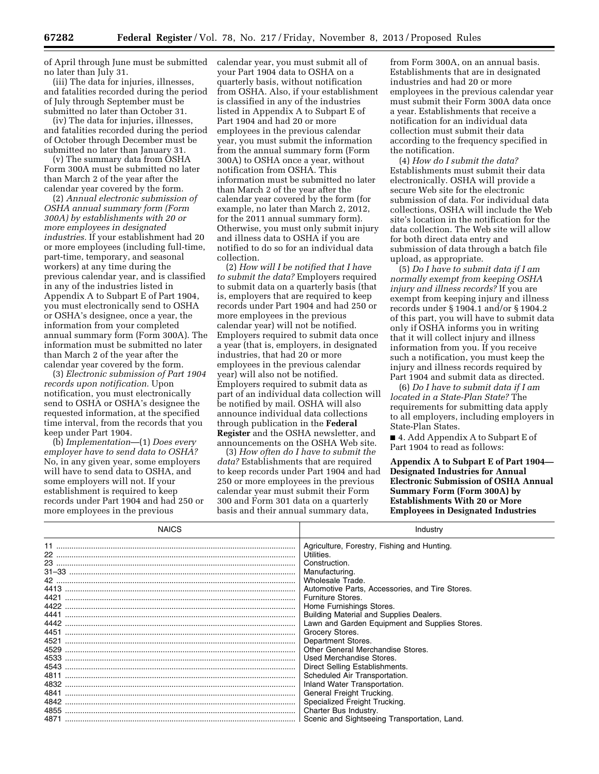of April through June must be submitted no later than July 31.

(iii) The data for injuries, illnesses, and fatalities recorded during the period of July through September must be submitted no later than October 31.

(iv) The data for injuries, illnesses, and fatalities recorded during the period of October through December must be submitted no later than January 31.

(v) The summary data from OSHA Form 300A must be submitted no later than March 2 of the year after the calendar year covered by the form.

(2) *Annual electronic submission of OSHA annual summary form (Form 300A) by establishments with 20 or more employees in designated industries.* If your establishment had 20 or more employees (including full-time, part-time, temporary, and seasonal workers) at any time during the previous calendar year, and is classified in any of the industries listed in Appendix A to Subpart E of Part 1904, you must electronically send to OSHA or OSHA's designee, once a year, the information from your completed annual summary form (Form 300A). The information must be submitted no later than March 2 of the year after the calendar year covered by the form.

(3) *Electronic submission of Part 1904 records upon notification.* Upon notification, you must electronically send to OSHA or OSHA's designee the requested information, at the specified time interval, from the records that you keep under Part 1904.

(b) *Implementation*—(1) *Does every employer have to send data to OSHA?*  No, in any given year, some employers will have to send data to OSHA, and some employers will not. If your establishment is required to keep records under Part 1904 and had 250 or more employees in the previous

calendar year, you must submit all of your Part 1904 data to OSHA on a quarterly basis, without notification from OSHA. Also, if your establishment is classified in any of the industries listed in Appendix A to Subpart E of Part 1904 and had 20 or more employees in the previous calendar year, you must submit the information from the annual summary form (Form 300A) to OSHA once a year, without notification from OSHA. This information must be submitted no later than March 2 of the year after the calendar year covered by the form (for example, no later than March 2, 2012, for the 2011 annual summary form). Otherwise, you must only submit injury and illness data to OSHA if you are notified to do so for an individual data collection.

(2) *How will I be notified that I have to submit the data?* Employers required to submit data on a quarterly basis (that is, employers that are required to keep records under Part 1904 and had 250 or more employees in the previous calendar year) will not be notified. Employers required to submit data once a year (that is, employers, in designated industries, that had 20 or more employees in the previous calendar year) will also not be notified. Employers required to submit data as part of an individual data collection will be notified by mail. OSHA will also announce individual data collections through publication in the **Federal Register** and the OSHA newsletter, and announcements on the OSHA Web site.

(3) *How often do I have to submit the data?* Establishments that are required to keep records under Part 1904 and had 250 or more employees in the previous calendar year must submit their Form 300 and Form 301 data on a quarterly basis and their annual summary data,

from Form 300A, on an annual basis. Establishments that are in designated industries and had 20 or more employees in the previous calendar year must submit their Form 300A data once a year. Establishments that receive a notification for an individual data collection must submit their data according to the frequency specified in the notification.

(4) *How do I submit the data?*  Establishments must submit their data electronically. OSHA will provide a secure Web site for the electronic submission of data. For individual data collections, OSHA will include the Web site's location in the notification for the data collection. The Web site will allow for both direct data entry and submission of data through a batch file upload, as appropriate.

(5) *Do I have to submit data if I am normally exempt from keeping OSHA injury and illness records?* If you are exempt from keeping injury and illness records under § 1904.1 and/or § 1904.2 of this part, you will have to submit data only if OSHA informs you in writing that it will collect injury and illness information from you. If you receive such a notification, you must keep the injury and illness records required by Part 1904 and submit data as directed.

(6) *Do I have to submit data if I am located in a State-Plan State?* The requirements for submitting data apply to all employers, including employers in State-Plan States.

■ 4. Add Appendix A to Subpart E of Part 1904 to read as follows:

**Appendix A to Subpart E of Part 1904— Designated Industries for Annual Electronic Submission of OSHA Annual Summary Form (Form 300A) by Establishments With 20 or More Employees in Designated Industries** 

| <b>NAICS</b> | Industry                                                                                                                                                                                                                                                                                                                                                                                                                                                                                                                                                                                                              |
|--------------|-----------------------------------------------------------------------------------------------------------------------------------------------------------------------------------------------------------------------------------------------------------------------------------------------------------------------------------------------------------------------------------------------------------------------------------------------------------------------------------------------------------------------------------------------------------------------------------------------------------------------|
|              | Agriculture, Forestry, Fishing and Hunting.<br>Utilities.<br>Construction.<br>Manufacturing.<br>Wholesale Trade.<br>Automotive Parts, Accessories, and Tire Stores.<br>Furniture Stores.<br>Home Furnishings Stores.<br>Building Material and Supplies Dealers.<br>Lawn and Garden Equipment and Supplies Stores.<br>Grocery Stores.<br>Department Stores.<br>Other General Merchandise Stores.<br>Used Merchandise Stores.<br>Direct Selling Establishments.<br>Scheduled Air Transportation.<br>Inland Water Transportation.<br>General Freight Trucking.<br>Specialized Freight Trucking.<br>Charter Bus Industry. |
|              | Scenic and Sightseeing Transportation, Land.                                                                                                                                                                                                                                                                                                                                                                                                                                                                                                                                                                          |